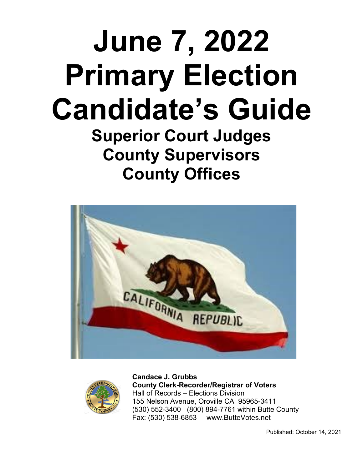# **June 7, 2022 Primary Election Candidate's Guide**

**Superior Court Judges County Supervisors County Offices**





**Candace J. Grubbs County Clerk-Recorder/Registrar of Voters** Hall of Records – Elections Division 155 Nelson Avenue, Oroville CA 95965-3411 (530) 552-3400 (800) 894-7761 within Butte County Fax: (530) 538-6853 www.ButteVotes.net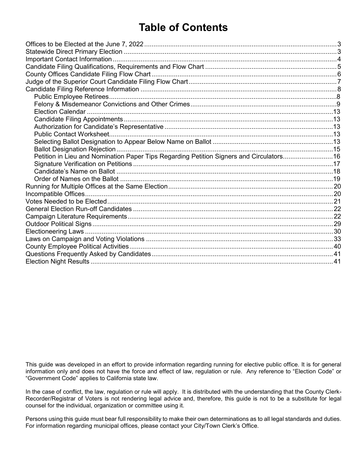# **Table of Contents**

| Petition in Lieu and Nomination Paper Tips Regarding Petition Signers and Circulators16 |  |
|-----------------------------------------------------------------------------------------|--|
|                                                                                         |  |
|                                                                                         |  |
|                                                                                         |  |
|                                                                                         |  |
|                                                                                         |  |
|                                                                                         |  |
|                                                                                         |  |
|                                                                                         |  |
|                                                                                         |  |
|                                                                                         |  |
|                                                                                         |  |
|                                                                                         |  |
|                                                                                         |  |
|                                                                                         |  |

This guide was developed in an effort to provide information regarding running for elective public office. It is for general information only and does not have the force and effect of law, regulation or rule. Any reference to "Election Code" or "Government Code" applies to California state law.

In the case of conflict, the law, regulation or rule will apply. It is distributed with the understanding that the County Clerk-Recorder/Registrar of Voters is not rendering legal advice and, therefore, this guide is not to be a substitute for legal counsel for the individual, organization or committee using it.

Persons using this guide must bear full responsibility to make their own determinations as to all legal standards and duties. For information regarding municipal offices, please contact your City/Town Clerk's Office.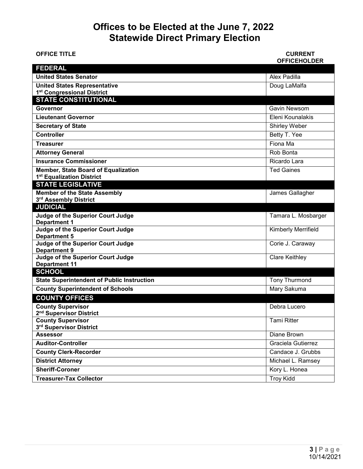# <span id="page-2-1"></span>**Offices to be Elected at the June 7, 2022 Statewide Direct Primary Election**

#### <span id="page-2-0"></span>**OFFICE TITLE CURRENT**

# **OFFICEHOLDER**

| <b>FEDERAL</b>                                           |                      |
|----------------------------------------------------------|----------------------|
| <b>United States Senator</b>                             | Alex Padilla         |
| <b>United States Representative</b>                      | Doug LaMalfa         |
| 1 <sup>st</sup> Congressional District                   |                      |
| <b>STATE CONSTITUTIONAL</b>                              |                      |
| Governor                                                 | Gavin Newsom         |
| <b>Lieutenant Governor</b>                               | Eleni Kounalakis     |
| <b>Secretary of State</b>                                | Shirley Weber        |
| <b>Controller</b>                                        | Betty T. Yee         |
| <b>Treasurer</b>                                         | Fiona Ma             |
| <b>Attorney General</b>                                  | Rob Bonta            |
| <b>Insurance Commissioner</b>                            | Ricardo Lara         |
| Member, State Board of Equalization                      | <b>Ted Gaines</b>    |
| 1st Equalization District                                |                      |
| <b>STATE LEGISLATIVE</b>                                 |                      |
| <b>Member of the State Assembly</b>                      | James Gallagher      |
| 3rd Assembly District                                    |                      |
| <b>JUDICIAL</b>                                          |                      |
| Judge of the Superior Court Judge                        | Tamara L. Mosbarger  |
| <b>Department 1</b>                                      |                      |
| Judge of the Superior Court Judge<br><b>Department 5</b> | Kimberly Merrifield  |
| Judge of the Superior Court Judge                        | Corie J. Caraway     |
| <b>Department 9</b>                                      |                      |
| Judge of the Superior Court Judge                        | Clare Keithley       |
| <b>Department 11</b>                                     |                      |
| <b>SCHOOL</b>                                            |                      |
| <b>State Superintendent of Public Instruction</b>        | <b>Tony Thurmond</b> |
| <b>County Superintendent of Schools</b>                  | Mary Sakuma          |
| <b>COUNTY OFFICES</b>                                    |                      |
| <b>County Supervisor</b>                                 | Debra Lucero         |
| 2 <sup>nd</sup> Supervisor District                      |                      |
| <b>County Supervisor</b>                                 | <b>Tami Ritter</b>   |
| 3rd Supervisor District                                  | Diane Brown          |
| <b>Assessor</b>                                          |                      |
| <b>Auditor-Controller</b>                                | Graciela Gutierrez   |
| <b>County Clerk-Recorder</b>                             | Candace J. Grubbs    |
| <b>District Attorney</b>                                 | Michael L. Ramsey    |
| <b>Sheriff-Coroner</b>                                   | Kory L. Honea        |
| <b>Treasurer-Tax Collector</b>                           | <b>Troy Kidd</b>     |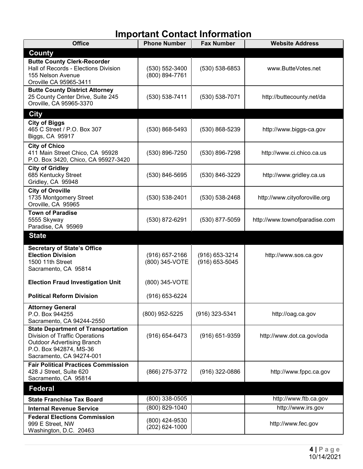<span id="page-3-0"></span>

| <b>Important Contact Information</b>                                                                                                                                          |                                    |                                  |                               |  |  |  |
|-------------------------------------------------------------------------------------------------------------------------------------------------------------------------------|------------------------------------|----------------------------------|-------------------------------|--|--|--|
| <b>Office</b>                                                                                                                                                                 | <b>Phone Number</b>                | <b>Fax Number</b>                | <b>Website Address</b>        |  |  |  |
| <b>County</b>                                                                                                                                                                 |                                    |                                  |                               |  |  |  |
| <b>Butte County Clerk-Recorder</b><br>Hall of Records - Elections Division<br>155 Nelson Avenue<br>Oroville CA 95965-3411                                                     | (530) 552-3400<br>(800) 894-7761   | (530) 538-6853                   | www.ButteVotes.net            |  |  |  |
| <b>Butte County District Attorney</b><br>25 County Center Drive, Suite 245<br>Oroville, CA 95965-3370                                                                         | (530) 538-7411                     | (530) 538-7071                   | http://buttecounty.net/da     |  |  |  |
| <b>City</b>                                                                                                                                                                   |                                    |                                  |                               |  |  |  |
| <b>City of Biggs</b><br>465 C Street / P.O. Box 307<br>Biggs, CA 95917                                                                                                        | (530) 868-5493                     | (530) 868-5239                   | http://www.biggs-ca.gov       |  |  |  |
| <b>City of Chico</b><br>411 Main Street Chico, CA 95928<br>P.O. Box 3420, Chico, CA 95927-3420                                                                                | (530) 896-7250                     | (530) 896-7298                   | http://www.ci.chico.ca.us     |  |  |  |
| <b>City of Gridley</b><br>685 Kentucky Street<br>Gridley, CA 95948                                                                                                            | (530) 846-5695                     | (530) 846-3229                   | http://www.gridley.ca.us      |  |  |  |
| <b>City of Oroville</b><br>1735 Montgomery Street<br>Oroville, CA 95965                                                                                                       | (530) 538-2401                     | (530) 538-2468                   | http://www.cityoforoville.org |  |  |  |
| <b>Town of Paradise</b><br>5555 Skyway<br>Paradise, CA 95969                                                                                                                  | (530) 872-6291                     | (530) 877-5059                   | http://www.townofparadise.com |  |  |  |
| <b>State</b>                                                                                                                                                                  |                                    |                                  |                               |  |  |  |
| <b>Secretary of State's Office</b><br><b>Election Division</b><br>1500 11th Street<br>Sacramento, CA 95814                                                                    | $(916)$ 657-2166<br>(800) 345-VOTE | (916) 653-3214<br>(916) 653-5045 | http://www.sos.ca.gov         |  |  |  |
| <b>Election Fraud Investigation Unit</b>                                                                                                                                      | (800) 345-VOTE                     |                                  |                               |  |  |  |
| <b>Political Reform Division</b>                                                                                                                                              | (916) 653-6224                     |                                  |                               |  |  |  |
| <b>Attorney General</b><br>P.O. Box 944255<br>Sacramento, CA 94244-2550                                                                                                       | (800) 952-5225                     | $(916)$ 323-5341                 | http://oag.ca.gov             |  |  |  |
| <b>State Department of Transportation</b><br><b>Division of Traffic Operations</b><br><b>Outdoor Advertising Branch</b><br>P.O. Box 942874, MS-36<br>Sacramento, CA 94274-001 | (916) 654-6473                     | (916) 651-9359                   | http://www.dot.ca.gov/oda     |  |  |  |
| <b>Fair Political Practices Commission</b><br>428 J Street, Suite 620<br>Sacramento, CA 95814                                                                                 | (866) 275-3772                     | (916) 322-0886                   | http://www.fppc.ca.gov        |  |  |  |
| <b>Federal</b>                                                                                                                                                                |                                    |                                  |                               |  |  |  |
| <b>State Franchise Tax Board</b>                                                                                                                                              | (800) 338-0505                     |                                  | http://www.ftb.ca.gov         |  |  |  |
| <b>Internal Revenue Service</b>                                                                                                                                               | (800) 829-1040                     |                                  | http://www.irs.gov            |  |  |  |
| <b>Federal Elections Commission</b><br>999 E Street, NW<br>Washington, D.C. 20463                                                                                             | (800) 424-9530<br>(202) 624-1000   |                                  | http://www.fec.gov            |  |  |  |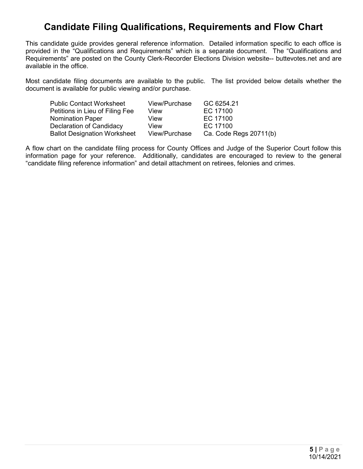# **Candidate Filing Qualifications, Requirements and Flow Chart**

<span id="page-4-0"></span>This candidate guide provides general reference information. Detailed information specific to each office is provided in the "Qualifications and Requirements" which is a separate document. The "Qualifications and Requirements" are posted on the County Clerk-Recorder Elections Division website-- buttevotes.net and are available in the office.

Most candidate filing documents are available to the public. The list provided below details whether the document is available for public viewing and/or purchase.

| <b>Public Contact Worksheet</b>     | View/Purchase | GC 6254.21             |
|-------------------------------------|---------------|------------------------|
| Petitions in Lieu of Filing Fee     | View          | EC 17100               |
| <b>Nomination Paper</b>             | View          | EC 17100               |
| Declaration of Candidacy            | View          | EC 17100               |
| <b>Ballot Designation Worksheet</b> | View/Purchase | Ca. Code Regs 20711(b) |

A flow chart on the candidate filing process for County Offices and Judge of the Superior Court follow this information page for your reference. Additionally, candidates are encouraged to review to the general "candidate filing reference information" and detail attachment on retirees, felonies and crimes.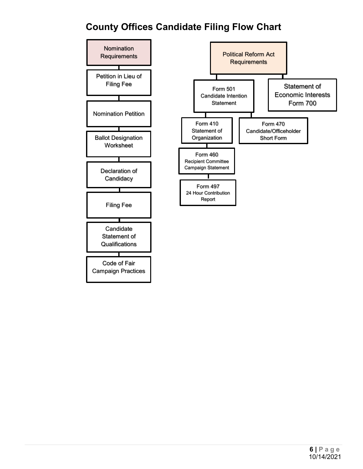# **County Offices Candidate Filing Flow Chart**

<span id="page-5-0"></span>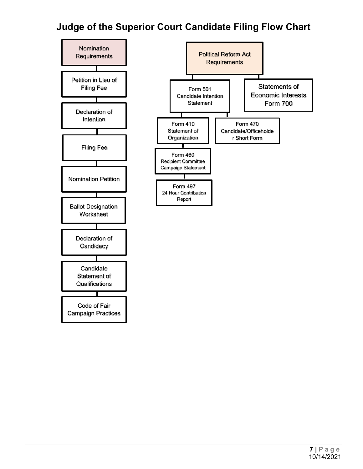# <span id="page-6-0"></span>**Judge of the Superior Court Candidate Filing Flow Chart**

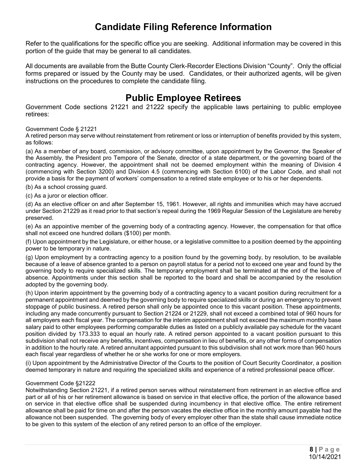# **Candidate Filing Reference Information**

<span id="page-7-0"></span>Refer to the qualifications for the specific office you are seeking. Additional information may be covered in this portion of the guide that may be general to all candidates.

All documents are available from the Butte County Clerk-Recorder Elections Division "County". Only the official forms prepared or issued by the County may be used. Candidates, or their authorized agents, will be given instructions on the procedures to complete the candidate filing.

## **Public Employee Retirees**

<span id="page-7-1"></span>Government Code sections 21221 and 21222 specify the applicable laws pertaining to public employee retirees:

Government Code § 21221

A retired person may serve without reinstatement from retirement or loss or interruption of benefits provided by this system, as follows:

(a) As a member of any board, commission, or advisory committee, upon appointment by the Governor, the Speaker of the Assembly, the President pro Tempore of the Senate, director of a state department, or the governing board of the contracting agency. However, the appointment shall not be deemed employment within the meaning of Division 4 (commencing with Section 3200) and Division 4.5 (commencing with Section 6100) of the Labor Code, and shall not provide a basis for the payment of workers' compensation to a retired state employee or to his or her dependents.

(b) As a school crossing guard.

(c) As a juror or election officer.

(d) As an elective officer on and after September 15, 1961. However, all rights and immunities which may have accrued under Section 21229 as it read prior to that section's repeal during the 1969 Regular Session of the Legislature are hereby preserved.

(e) As an appointive member of the governing body of a contracting agency. However, the compensation for that office shall not exceed one hundred dollars (\$100) per month.

(f) Upon appointment by the Legislature, or either house, or a legislative committee to a position deemed by the appointing power to be temporary in nature.

(g) Upon employment by a contracting agency to a position found by the governing body, by resolution, to be available because of a leave of absence granted to a person on payroll status for a period not to exceed one year and found by the governing body to require specialized skills. The temporary employment shall be terminated at the end of the leave of absence. Appointments under this section shall be reported to the board and shall be accompanied by the resolution adopted by the governing body.

(h) Upon interim appointment by the governing body of a contracting agency to a vacant position during recruitment for a permanent appointment and deemed by the governing body to require specialized skills or during an emergency to prevent stoppage of public business. A retired person shall only be appointed once to this vacant position. These appointments, including any made concurrently pursuant to Section 21224 or 21229, shall not exceed a combined total of 960 hours for all employers each fiscal year. The compensation for the interim appointment shall not exceed the maximum monthly base salary paid to other employees performing comparable duties as listed on a publicly available pay schedule for the vacant position divided by 173.333 to equal an hourly rate. A retired person appointed to a vacant position pursuant to this subdivision shall not receive any benefits, incentives, compensation in lieu of benefits, or any other forms of compensation in addition to the hourly rate. A retired annuitant appointed pursuant to this subdivision shall not work more than 960 hours each fiscal year regardless of whether he or she works for one or more employers.

(i) Upon appointment by the Administrative Director of the Courts to the position of Court Security Coordinator, a position deemed temporary in nature and requiring the specialized skills and experience of a retired professional peace officer.

#### Government Code §21222

Notwithstanding Section 21221, if a retired person serves without reinstatement from retirement in an elective office and part or all of his or her retirement allowance is based on service in that elective office, the portion of the allowance based on service in that elective office shall be suspended during incumbency in that elective office. The entire retirement allowance shall be paid for time on and after the person vacates the elective office in the monthly amount payable had the allowance not been suspended. The governing body of every employer other than the state shall cause immediate notice to be given to this system of the election of any retired person to an office of the employer.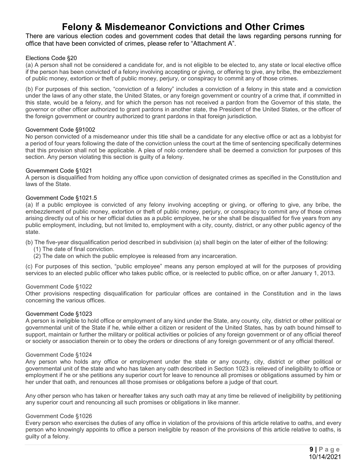# **Felony & Misdemeanor Convictions and Other Crimes**

<span id="page-8-0"></span>There are various election codes and government codes that detail the laws regarding persons running for office that have been convicted of crimes, please refer to "Attachment A".

#### Elections Code §20

(a) A person shall not be considered a candidate for, and is not eligible to be elected to, any state or local elective office if the person has been convicted of a felony involving accepting or giving, or offering to give, any bribe, the embezzlement of public money, extortion or theft of public money, perjury, or conspiracy to commit any of those crimes.

(b) For purposes of this section, "conviction of a felony" includes a conviction of a felony in this state and a conviction under the laws of any other state, the United States, or any foreign government or country of a crime that, if committed in this state, would be a felony, and for which the person has not received a pardon from the Governor of this state, the governor or other officer authorized to grant pardons in another state, the President of the United States, or the officer of the foreign government or country authorized to grant pardons in that foreign jurisdiction.

#### Government Code §91002

No person convicted of a misdemeanor under this title shall be a candidate for any elective office or act as a lobbyist for a period of four years following the date of the conviction unless the court at the time of sentencing specifically determines that this provision shall not be applicable. A plea of nolo contendere shall be deemed a conviction for purposes of this section. Any person violating this section is guilty of a felony.

#### Government Code §1021

A person is disqualified from holding any office upon conviction of designated crimes as specified in the Constitution and laws of the State.

#### Government Code §1021.5

(a) If a public employee is convicted of any felony involving accepting or giving, or offering to give, any bribe, the embezzlement of public money, extortion or theft of public money, perjury, or conspiracy to commit any of those crimes arising directly out of his or her official duties as a public employee, he or she shall be disqualified for five years from any public employment, including, but not limited to, employment with a city, county, district, or any other public agency of the state.

(b) The five-year disqualification period described in subdivision (a) shall begin on the later of either of the following:

- (1) The date of final conviction.
- (2) The date on which the public employee is released from any incarceration.

(c) For purposes of this section, "public employee" means any person employed at will for the purposes of providing services to an elected public officer who takes public office, or is reelected to public office, on or after January 1, 2013.

#### Government Code §1022

Other provisions respecting disqualification for particular offices are contained in the Constitution and in the laws concerning the various offices.

#### Government Code §1023

A person is ineligible to hold office or employment of any kind under the State, any county, city, district or other political or governmental unit of the State if he, while either a citizen or resident of the United States, has by oath bound himself to support, maintain or further the military or political activities or policies of any foreign government or of any official thereof or society or association therein or to obey the orders or directions of any foreign government or of any official thereof.

#### Government Code §1024

Any person who holds any office or employment under the state or any county, city, district or other political or governmental unit of the state and who has taken any oath described in Section 1023 is relieved of ineligibility to office or employment if he or she petitions any superior court for leave to renounce all promises or obligations assumed by him or her under that oath, and renounces all those promises or obligations before a judge of that court.

Any other person who has taken or hereafter takes any such oath may at any time be relieved of ineligibility by petitioning any superior court and renouncing all such promises or obligations in like manner.

#### Government Code §1026

Every person who exercises the duties of any office in violation of the provisions of this article relative to oaths, and every person who knowingly appoints to office a person ineligible by reason of the provisions of this article relative to oaths, is guilty of a felony.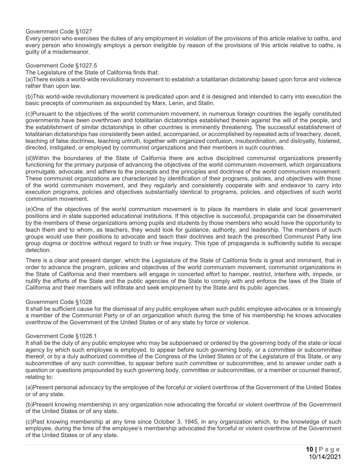#### Government Code §1027

Every person who exercises the duties of any employment in violation of the provisions of this article relative to oaths, and every person who knowingly employs a person ineligible by reason of the provisions of this article relative to oaths, is guilty of a misdemeanor.

Government Code §1027.5

The Legislature of the State of California finds that:

(a)There exists a world-wide revolutionary movement to establish a totalitarian dictatorship based upon force and violence rather than upon law.

(b)This world-wide revolutionary movement is predicated upon and it is designed and intended to carry into execution the basic precepts of communism as expounded by Marx, Lenin, and Stalin.

(c)Pursuant to the objectives of the world communism movement, in numerous foreign countries the legally constituted governments have been overthrown and totalitarian dictatorships established therein against the will of the people, and the establishment of similar dictatorships in other countries is imminently threatening. The successful establishment of totalitarian dictatorships has consistently been aided, accompanied, or accomplished by repeated acts of treachery, deceit, teaching of false doctrines, teaching untruth, together with organized confusion, insubordination, and disloyalty, fostered, directed, instigated, or employed by communist organizations and their members in such countries.

(d)Within the boundaries of the State of California there are active disciplined communist organizations presently functioning for the primary purpose of advancing the objectives of the world communism movement, which organizations promulgate, advocate, and adhere to the precepts and the principles and doctrines of the world communism movement. These communist organizations are characterized by identification of their programs, policies, and objectives with those of the world communism movement, and they regularly and consistently cooperate with and endeavor to carry into execution programs, policies and objectives substantially identical to programs, policies, and objectives of such world communism movement.

(e)One of the objectives of the world communism movement is to place its members in state and local government positions and in state supported educational institutions. If this objective is successful, propaganda can be disseminated by the members of these organizations among pupils and students by those members who would have the opportunity to teach them and to whom, as teachers, they would look for guidance, authority, and leadership. The members of such groups would use their positions to advocate and teach their doctrines and teach the prescribed Communist Party line group dogma or doctrine without regard to truth or free inquiry. This type of propaganda is sufficiently subtle to escape detection.

There is a clear and present danger, which the Legislature of the State of California finds is great and imminent, that in order to advance the program, policies and objectives of the world communism movement, communist organizations in the State of California and their members will engage in concerted effort to hamper, restrict, interfere with, impede, or nullify the efforts of the State and the public agencies of the State to comply with and enforce the laws of the State of California and their members will infiltrate and seek employment by the State and its public agencies.

#### Government Code §1028

It shall be sufficient cause for the dismissal of any public employee when such public employee advocates or is knowingly a member of the Communist Party or of an organization which during the time of his membership he knows advocates overthrow of the Government of the United States or of any state by force or violence.

#### Government Code §1028.1

It shall be the duty of any public employee who may be subpoenaed or ordered by the governing body of the state or local agency by which such employee is employed, to appear before such governing body, or a committee or subcommittee thereof, or by a duly authorized committee of the Congress of the United States or of the Legislature of this State, or any subcommittee of any such committee, to appear before such committee or subcommittee, and to answer under oath a question or questions propounded by such governing body, committee or subcommittee, or a member or counsel thereof, relating to:

(a)Present personal advocacy by the employee of the forceful or violent overthrow of the Government of the United States or of any state.

(b)Present knowing membership in any organization now advocating the forceful or violent overthrow of the Government of the United States or of any state.

(c)Past knowing membership at any time since October 3, 1945, in any organization which, to the knowledge of such employee, during the time of the employee's membership advocated the forceful or violent overthrow of the Government of the United States or of any state.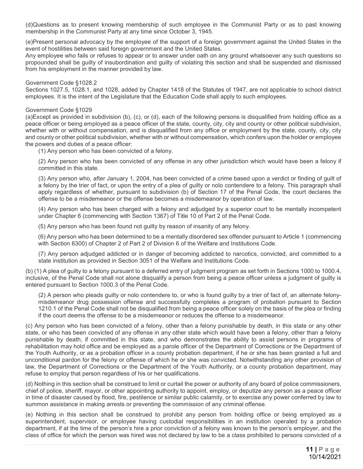(d)Questions as to present knowing membership of such employee in the Communist Party or as to past knowing membership in the Communist Party at any time since October 3, 1945.

(e)Present personal advocacy by the employee of the support of a foreign government against the United States in the event of hostilities between said foreign government and the United States.

Any employee who fails or refuses to appear or to answer under oath on any ground whatsoever any such questions so propounded shall be guilty of insubordination and guilty of violating this section and shall be suspended and dismissed from his employment in the manner provided by law.

#### Government Code §1028.2

Sections 1027.5, 1028.1, and 1028, added by Chapter 1418 of the Statutes of 1947, are not applicable to school district employees. It is the intent of the Legislature that the Education Code shall apply to such employees.

#### Government Code §1029

(a)Except as provided in subdivision (b), (c), or (d), each of the following persons is disqualified from holding office as a peace officer or being employed as a peace officer of the state, county, city, city and county or other political subdivision, whether with or without compensation, and is disqualified from any office or employment by the state, county, city, city and county or other political subdivision, whether with or without compensation, which confers upon the holder or employee the powers and duties of a peace officer:

(1) Any person who has been convicted of a felony.

(2) Any person who has been convicted of any offense in any other jurisdiction which would have been a felony if committed in this state.

(3) Any person who, after January 1, 2004, has been convicted of a crime based upon a verdict or finding of guilt of a felony by the trier of fact, or upon the entry of a plea of guilty or nolo contendere to a felony. This paragraph shall apply regardless of whether, pursuant to subdivision (b) of Section 17 of the Penal Code, the court declares the offense to be a misdemeanor or the offense becomes a misdemeanor by operation of law.

(4) Any person who has been charged with a felony and adjudged by a superior court to be mentally incompetent under Chapter 6 (commencing with Section 1367) of Title 10 of Part 2 of the Penal Code.

(5) Any person who has been found not guilty by reason of insanity of any felony.

(6) Any person who has been determined to be a mentally disordered sex offender pursuant to Article 1 (commencing with Section 6300) of Chapter 2 of Part 2 of Division 6 of the Welfare and Institutions Code.

(7) Any person adjudged addicted or in danger of becoming addicted to narcotics, convicted, and committed to a state institution as provided in Section 3051 of the Welfare and Institutions Code.

(b) (1) A plea of guilty to a felony pursuant to a deferred entry of judgment program as set forth in Sections 1000 to 1000.4, inclusive, of the Penal Code shall not alone disqualify a person from being a peace officer unless a judgment of guilty is entered pursuant to Section 1000.3 of the Penal Code.

(2) A person who pleads guilty or nolo contendere to, or who is found guilty by a trier of fact of, an alternate felonymisdemeanor drug possession offense and successfully completes a program of probation pursuant to Section 1210.1 of the Penal Code shall not be disqualified from being a peace officer solely on the basis of the plea or finding if the court deems the offense to be a misdemeanor or reduces the offense to a misdemeanor.

(c) Any person who has been convicted of a felony, other than a felony punishable by death, in this state or any other state, or who has been convicted of any offense in any other state which would have been a felony, other than a felony punishable by death, if committed in this state, and who demonstrates the ability to assist persons in programs of rehabilitation may hold office and be employed as a parole officer of the Department of Corrections or the Department of the Youth Authority, or as a probation officer in a county probation department, if he or she has been granted a full and unconditional pardon for the felony or offense of which he or she was convicted. Notwithstanding any other provision of law, the Department of Corrections or the Department of the Youth Authority, or a county probation department, may refuse to employ that person regardless of his or her qualifications.

(d) Nothing in this section shall be construed to limit or curtail the power or authority of any board of police commissioners, chief of police, sheriff, mayor, or other appointing authority to appoint, employ, or deputize any person as a peace officer in time of disaster caused by flood, fire, pestilence or similar public calamity, or to exercise any power conferred by law to summon assistance in making arrests or preventing the commission of any criminal offense.

(e) Nothing in this section shall be construed to prohibit any person from holding office or being employed as a superintendent, supervisor, or employee having custodial responsibilities in an institution operated by a probation department, if at the time of the person's hire a prior conviction of a felony was known to the person's employer, and the class of office for which the person was hired was not declared by law to be a class prohibited to persons convicted of a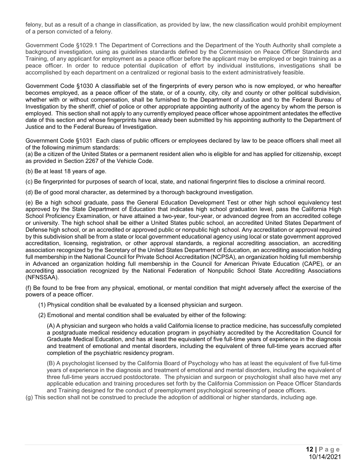felony, but as a result of a change in classification, as provided by law, the new classification would prohibit employment of a person convicted of a felony.

Government Code §1029.1 The Department of Corrections and the Department of the Youth Authority shall complete a background investigation, using as guidelines standards defined by the Commission on Peace Officer Standards and Training, of any applicant for employment as a peace officer before the applicant may be employed or begin training as a peace officer. In order to reduce potential duplication of effort by individual institutions, investigations shall be accomplished by each department on a centralized or regional basis to the extent administratively feasible.

Government Code §1030 A classifiable set of the fingerprints of every person who is now employed, or who hereafter becomes employed, as a peace officer of the state, or of a county, city, city and county or other political subdivision, whether with or without compensation, shall be furnished to the Department of Justice and to the Federal Bureau of Investigation by the sheriff, chief of police or other appropriate appointing authority of the agency by whom the person is employed. This section shall not apply to any currently employed peace officer whose appointment antedates the effective date of this section and whose fingerprints have already been submitted by his appointing authority to the Department of Justice and to the Federal Bureau of Investigation.

Government Code §1031 Each class of public officers or employees declared by law to be peace officers shall meet all of the following minimum standards:

(a) Be a citizen of the United States or a permanent resident alien who is eligible for and has applied for citizenship, except as provided in Section 2267 of the Vehicle Code.

(b) Be at least 18 years of age.

(c) Be fingerprinted for purposes of search of local, state, and national fingerprint files to disclose a criminal record.

(d) Be of good moral character, as determined by a thorough background investigation.

(e) Be a high school graduate, pass the General Education Development Test or other high school equivalency test approved by the State Department of Education that indicates high school graduation level, pass the California High School Proficiency Examination, or have attained a two-year, four-year, or advanced degree from an accredited college or university. The high school shall be either a United States public school, an accredited United States Department of Defense high school, or an accredited or approved public or nonpublic high school. Any accreditation or approval required by this subdivision shall be from a state or local government educational agency using local or state government approved accreditation, licensing, registration, or other approval standards, a regional accrediting association, an accrediting association recognized by the Secretary of the United States Department of Education, an accrediting association holding full membership in the National Council for Private School Accreditation (NCPSA), an organization holding full membership in Advanced an organization holding full membership in the Council for American Private Education (CAPE), or an accrediting association recognized by the National Federation of Nonpublic School State Accrediting Associations (NFNSSAA).

(f) Be found to be free from any physical, emotional, or mental condition that might adversely affect the exercise of the powers of a peace officer.

- (1) Physical condition shall be evaluated by a licensed physician and surgeon.
- (2) Emotional and mental condition shall be evaluated by either of the following:

(A) A physician and surgeon who holds a valid California license to practice medicine, has successfully completed a postgraduate medical residency education program in psychiatry accredited by the Accreditation Council for Graduate Medical Education, and has at least the equivalent of five full-time years of experience in the diagnosis and treatment of emotional and mental disorders, including the equivalent of three full-time years accrued after completion of the psychiatric residency program.

(B) A psychologist licensed by the California Board of Psychology who has at least the equivalent of five full-time years of experience in the diagnosis and treatment of emotional and mental disorders, including the equivalent of three full-time years accrued postdoctorate. The physician and surgeon or psychologist shall also have met any applicable education and training procedures set forth by the California Commission on Peace Officer Standards and Training designed for the conduct of preemployment psychological screening of peace officers.

(g) This section shall not be construed to preclude the adoption of additional or higher standards, including age.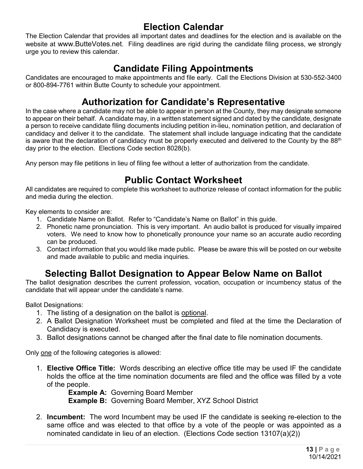# **Election Calendar**

<span id="page-12-0"></span>The Election Calendar that provides all important dates and deadlines for the election and is available on the website at [www.ButteVotes.net.](http://www.buttevotes.net/) Filing deadlines are rigid during the candidate filing process, we strongly urge you to review this calendar.

# **Candidate Filing Appointments**

<span id="page-12-1"></span>Candidates are encouraged to make appointments and file early. Call the Elections Division at 530-552-3400 or 800-894-7761 within Butte County to schedule your appointment.

# **Authorization for Candidate's Representative**

<span id="page-12-2"></span>In the case where a candidate may not be able to appear in person at the County, they may designate someone to appear on their behalf. A candidate may, in a written statement signed and dated by the candidate, designate a person to receive candidate filing documents including petition in-lieu, nomination petition, and declaration of candidacy and deliver it to the candidate. The statement shall include language indicating that the candidate is aware that the declaration of candidacy must be properly executed and delivered to the County by the 88<sup>th</sup> day prior to the election. Elections Code section 8028(b).

Any person may file petitions in lieu of filing fee without a letter of authorization from the candidate.

# **Public Contact Worksheet**

<span id="page-12-3"></span>All candidates are required to complete this worksheet to authorize release of contact information for the public and media during the election.

Key elements to consider are:

- 1. Candidate Name on Ballot. Refer to "Candidate's Name on Ballot" in this guide.
- 2. Phonetic name pronunciation. This is very important. An audio ballot is produced for visually impaired voters. We need to know how to phonetically pronounce your name so an accurate audio recording can be produced.
- 3. Contact information that you would like made public. Please be aware this will be posted on our website and made available to public and media inquiries.

# **Selecting Ballot Designation to Appear Below Name on Ballot**

<span id="page-12-4"></span>The ballot designation describes the current profession, vocation, occupation or incumbency status of the candidate that will appear under the candidate's name.

Ballot Designations:

- 1. The listing of a designation on the ballot is optional.
- 2. A Ballot Designation Worksheet must be completed and filed at the time the Declaration of Candidacy is executed.
- 3. Ballot designations cannot be changed after the final date to file nomination documents.

Only one of the following categories is allowed:

1. **Elective Office Title:** Words describing an elective office title may be used IF the candidate holds the office at the time nomination documents are filed and the office was filled by a vote of the people.

**Example A:** Governing Board Member **Example B:** Governing Board Member, XYZ School District

2. **Incumbent:** The word Incumbent may be used IF the candidate is seeking re-election to the same office and was elected to that office by a vote of the people or was appointed as a nominated candidate in lieu of an election. (Elections Code section 13107(a)(2))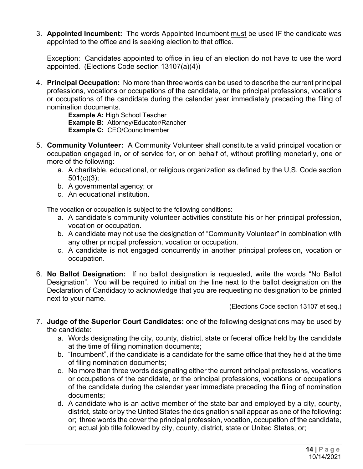3. **Appointed Incumbent:** The words Appointed Incumbent must be used IF the candidate was appointed to the office and is seeking election to that office.

Exception: Candidates appointed to office in lieu of an election do not have to use the word appointed. (Elections Code section 13107(a)(4))

4. **Principal Occupation:** No more than three words can be used to describe the current principal professions, vocations or occupations of the candidate, or the principal professions, vocations or occupations of the candidate during the calendar year immediately preceding the filing of nomination documents.

**Example A:** High School Teacher **Example B:** Attorney/Educator/Rancher **Example C:** CEO/Councilmember

- 5. **Community Volunteer:** A Community Volunteer shall constitute a valid principal vocation or occupation engaged in, or of service for, or on behalf of, without profiting monetarily, one or more of the following:
	- a. A charitable, educational, or religious organization as defined by the U,S. Code section 501(c)(3);
	- b. A governmental agency; or
	- c. An educational institution.

The vocation or occupation is subject to the following conditions:

- a. A candidate's community volunteer activities constitute his or her principal profession, vocation or occupation.
- b. A candidate may not use the designation of "Community Volunteer" in combination with any other principal profession, vocation or occupation.
- c. A candidate is not engaged concurrently in another principal profession, vocation or occupation.
- 6. **No Ballot Designation:** If no ballot designation is requested, write the words "No Ballot Designation". You will be required to initial on the line next to the ballot designation on the Declaration of Candidacy to acknowledge that you are requesting no designation to be printed next to your name.

(Elections Code section 13107 et seq.)

- 7. **Judge of the Superior Court Candidates:** one of the following designations may be used by the candidate:
	- a. Words designating the city, county, district, state or federal office held by the candidate at the time of filing nomination documents;
	- b. "Incumbent", if the candidate is a candidate for the same office that they held at the time of filing nomination documents;
	- c. No more than three words designating either the current principal professions, vocations or occupations of the candidate, or the principal professions, vocations or occupations of the candidate during the calendar year immediate preceding the filing of nomination documents;
	- d. A candidate who is an active member of the state bar and employed by a city, county, district, state or by the United States the designation shall appear as one of the following: or; three words the cover the principal profession, vocation, occupation of the candidate, or; actual job title followed by city, county, district, state or United States, or;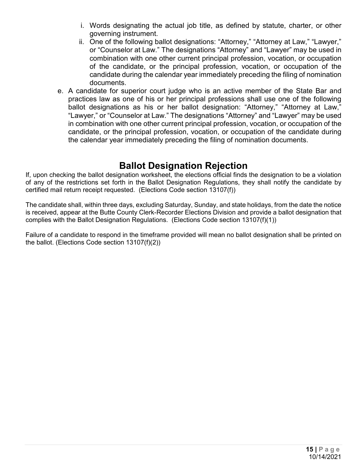- i. Words designating the actual job title, as defined by statute, charter, or other governing instrument.
- ii. One of the following ballot designations: "Attorney," "Attorney at Law," "Lawyer," or "Counselor at Law." The designations "Attorney" and "Lawyer" may be used in combination with one other current principal profession, vocation, or occupation of the candidate, or the principal profession, vocation, or occupation of the candidate during the calendar year immediately preceding the filing of nomination documents.
- e. A candidate for superior court judge who is an active member of the State Bar and practices law as one of his or her principal professions shall use one of the following ballot designations as his or her ballot designation: "Attorney," "Attorney at Law," "Lawyer," or "Counselor at Law." The designations "Attorney" and "Lawyer" may be used in combination with one other current principal profession, vocation, or occupation of the candidate, or the principal profession, vocation, or occupation of the candidate during the calendar year immediately preceding the filing of nomination documents.

# **Ballot Designation Rejection**

<span id="page-14-0"></span>If, upon checking the ballot designation worksheet, the elections official finds the designation to be a violation of any of the restrictions set forth in the Ballot Designation Regulations, they shall notify the candidate by certified mail return receipt requested. (Elections Code section 13107(f))

The candidate shall, within three days, excluding Saturday, Sunday, and state holidays, from the date the notice is received, appear at the Butte County Clerk-Recorder Elections Division and provide a ballot designation that complies with the Ballot Designation Regulations. (Elections Code section 13107(f)(1))

Failure of a candidate to respond in the timeframe provided will mean no ballot designation shall be printed on the ballot. (Elections Code section 13107(f)(2))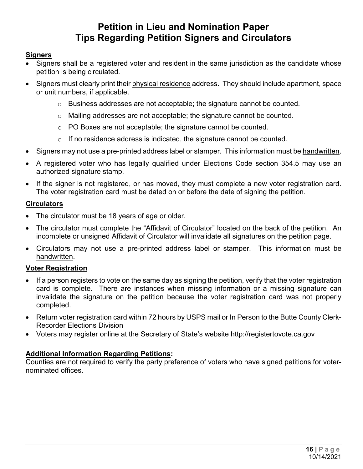# **Petition in Lieu and Nomination Paper Tips Regarding Petition Signers and Circulators**

#### <span id="page-15-0"></span>**Signers**

- Signers shall be a registered voter and resident in the same jurisdiction as the candidate whose petition is being circulated.
- Signers must clearly print their physical residence address. They should include apartment, space or unit numbers, if applicable.
	- o Business addresses are not acceptable; the signature cannot be counted.
	- o Mailing addresses are not acceptable; the signature cannot be counted.
	- o PO Boxes are not acceptable; the signature cannot be counted.
	- o If no residence address is indicated, the signature cannot be counted.
- Signers may not use a pre-printed address label or stamper. This information must be handwritten.
- A registered voter who has legally qualified under Elections Code section 354.5 may use an authorized signature stamp.
- If the signer is not registered, or has moved, they must complete a new voter registration card. The voter registration card must be dated on or before the date of signing the petition.

#### **Circulators**

- The circulator must be 18 years of age or older.
- The circulator must complete the "Affidavit of Circulator" located on the back of the petition. An incomplete or unsigned Affidavit of Circulator will invalidate all signatures on the petition page.
- Circulators may not use a pre-printed address label or stamper. This information must be handwritten.

#### **Voter Registration**

- If a person registers to vote on the same day as signing the petition, verify that the voter registration card is complete. There are instances when missing information or a missing signature can invalidate the signature on the petition because the voter registration card was not properly completed.
- Return voter registration card within 72 hours by USPS mail or In Person to the Butte County Clerk-Recorder Elections Division
- Voters may register online at the Secretary of State's website http://registertovote.ca.gov

#### **Additional Information Regarding Petitions:**

Counties are not required to verify the party preference of voters who have signed petitions for voternominated offices.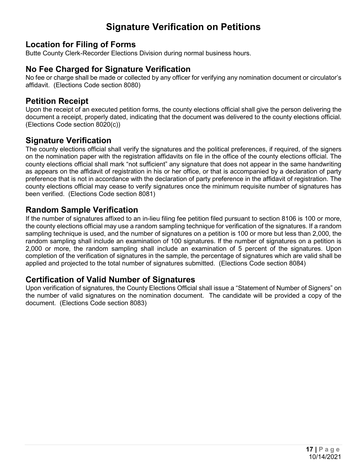# **Signature Verification on Petitions**

#### <span id="page-16-0"></span>**Location for Filing of Forms**

Butte County Clerk-Recorder Elections Division during normal business hours.

#### **No Fee Charged for Signature Verification**

No fee or charge shall be made or collected by any officer for verifying any nomination document or circulator's affidavit. (Elections Code section 8080)

#### **Petition Receipt**

Upon the receipt of an executed petition forms, the county elections official shall give the person delivering the document a receipt, properly dated, indicating that the document was delivered to the county elections official. (Elections Code section 8020(c))

#### **Signature Verification**

The county elections official shall verify the signatures and the political preferences, if required, of the signers on the nomination paper with the registration affidavits on file in the office of the county elections official. The county elections official shall mark "not sufficient" any signature that does not appear in the same handwriting as appears on the affidavit of registration in his or her office, or that is accompanied by a declaration of party preference that is not in accordance with the declaration of party preference in the affidavit of registration. The county elections official may cease to verify signatures once the minimum requisite number of signatures has been verified. (Elections Code section 8081)

#### **Random Sample Verification**

If the number of signatures affixed to an in-lieu filing fee petition filed pursuant to section 8106 is 100 or more, the county elections official may use a random sampling technique for verification of the signatures. If a random sampling technique is used, and the number of signatures on a petition is 100 or more but less than 2,000, the random sampling shall include an examination of 100 signatures. If the number of signatures on a petition is 2,000 or more, the random sampling shall include an examination of 5 percent of the signatures. Upon completion of the verification of signatures in the sample, the percentage of signatures which are valid shall be applied and projected to the total number of signatures submitted. (Elections Code section 8084)

## **Certification of Valid Number of Signatures**

Upon verification of signatures, the County Elections Official shall issue a "Statement of Number of Signers" on the number of valid signatures on the nomination document. The candidate will be provided a copy of the document. (Elections Code section 8083)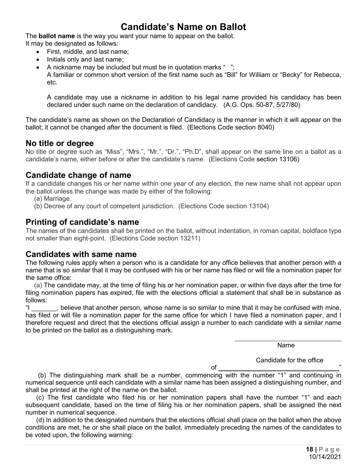# **Candidate's Name on Ballot**

<span id="page-17-0"></span>The **ballot name** is the way you want your name to appear on the ballot.

It may be designated as follows:

- First, middle, and last name;
- Initials only and last name:
- A nickname may be included but must be in quotation marks " ";
- A familiar or common short version of the first name such as "Bill" for William or "Becky" for Rebecca, etc.

A candidate may use a nickname in addition to his legal name provided his candidacy has been declared under such name on the declaration of candidacy. (A.G. Ops. 50-87, 5/27/80)

The candidate's name as shown on the Declaration of Candidacy is the manner in which it will appear on the ballot; it cannot be changed after the document is filed. (Elections Code section 8040)

## **No title or degree**

No title or degree such as "Miss", "Mrs.", "Mr.", "Dr.", "Ph.D", shall appear on the same line on a ballot as a candidate's name, either before or after the candidate's name. (Elections Code section 13106)

## **Candidate change of name**

If a candidate changes his or her name within one year of any election, the new name shall not appear upon the ballot unless the change was made by either of the following:

- (a) Marriage.
- (b) Decree of any court of competent jurisdiction. (Elections Code section 13104)

## **Printing of candidate's name**

The names of the candidates shall be printed on the ballot, without indentation, in roman capital, boldface type not smaller than eight-point. (Elections Code section 13211)

#### **Candidates with same name**

The following rules apply when a person who is a candidate for any office believes that another person with a name that is so similar that it may be confused with his or her name has filed or will file a nomination paper for the same office:

(a) The candidate may, at the time of filing his or her nomination paper, or within five days after the time for filing nomination papers has expired, file with the elections official a statement that shall be in substance as follows:

"I delieve that another person, whose name is so similar to mine that it may be confused with mine, has filed or will file a nomination paper for the same office for which I have filed a nomination paper, and I therefore request and direct that the elections official assign a number to each candidate with a similar name to be printed on the ballot as a distinguishing mark.

Name

Candidate for the office

of " (b) The distinguishing mark shall be a number, commencing with the number "1" and continuing in numerical sequence until each candidate with a similar name has been assigned a distinguishing number, and shall be printed at the right of the name on the ballot.

(c) The first candidate who filed his or her nomination papers shall have the number "1" and each subsequent candidate, based on the time of filing his or her nomination papers, shall be assigned the next number in numerical sequence.

(d) In addition to the designated numbers that the elections official shall place on the ballot when the above conditions are met, he or she shall place on the ballot, immediately preceding the names of the candidates to be voted upon, the following warning: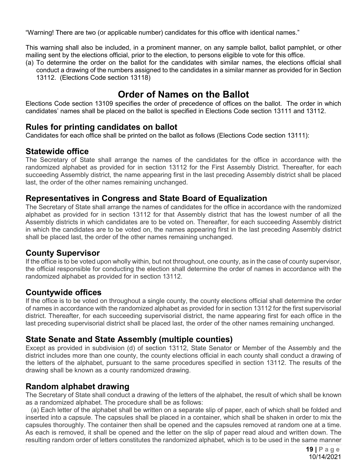"Warning! There are two (or applicable number) candidates for this office with identical names."

This warning shall also be included, in a prominent manner, on any sample ballot, ballot pamphlet, or other mailing sent by the elections official, prior to the election, to persons eligible to vote for this office.

(a) To determine the order on the ballot for the candidates with similar names, the elections official shall conduct a drawing of the numbers assigned to the candidates in a similar manner as provided for in Section 13112. (Elections Code section 13118)

# **Order of Names on the Ballot**

<span id="page-18-0"></span>Elections Code section 13109 specifies the order of precedence of offices on the ballot. The order in which candidates' names shall be placed on the ballot is specified in Elections Code section 13111 and 13112.

#### **Rules for printing candidates on ballot**

Candidates for each office shall be printed on the ballot as follows (Elections Code section 13111):

#### **Statewide office**

The Secretary of State shall arrange the names of the candidates for the office in accordance with the randomized alphabet as provided for in section 13112 for the First Assembly District. Thereafter, for each succeeding Assembly district, the name appearing first in the last preceding Assembly district shall be placed last, the order of the other names remaining unchanged.

## **Representatives in Congress and State Board of Equalization**

The Secretary of State shall arrange the names of candidates for the office in accordance with the randomized alphabet as provided for in section 13112 for that Assembly district that has the lowest number of all the Assembly districts in which candidates are to be voted on. Thereafter, for each succeeding Assembly district in which the candidates are to be voted on, the names appearing first in the last preceding Assembly district shall be placed last, the order of the other names remaining unchanged.

#### **County Supervisor**

If the office is to be voted upon wholly within, but not throughout, one county, as in the case of county supervisor, the official responsible for conducting the election shall determine the order of names in accordance with the randomized alphabet as provided for in section 13112.

## **Countywide offices**

If the office is to be voted on throughout a single county, the county elections official shall determine the order of names in accordance with the randomized alphabet as provided for in section 13112 for the first supervisorial district. Thereafter, for each succeeding supervisorial district, the name appearing first for each office in the last preceding supervisorial district shall be placed last, the order of the other names remaining unchanged.

## **State Senate and State Assembly (multiple counties)**

Except as provided in subdivision (d) of section 13112, State Senator or Member of the Assembly and the district includes more than one county, the county elections official in each county shall conduct a drawing of the letters of the alphabet, pursuant to the same procedures specified in section 13112. The results of the drawing shall be known as a county randomized drawing.

#### **Random alphabet drawing**

The Secretary of State shall conduct a drawing of the letters of the alphabet, the result of which shall be known as a randomized alphabet. The procedure shall be as follows:

(a) Each letter of the alphabet shall be written on a separate slip of paper, each of which shall be folded and inserted into a capsule. The capsules shall be placed in a container, which shall be shaken in order to mix the capsules thoroughly. The container then shall be opened and the capsules removed at random one at a time. As each is removed, it shall be opened and the letter on the slip of paper read aloud and written down. The resulting random order of letters constitutes the randomized alphabet, which is to be used in the same manner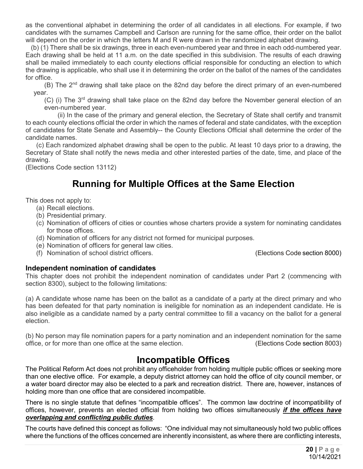as the conventional alphabet in determining the order of all candidates in all elections. For example, if two candidates with the surnames Campbell and Carlson are running for the same office, their order on the ballot will depend on the order in which the letters M and R were drawn in the randomized alphabet drawing.

(b) (1) There shall be six drawings, three in each even-numbered year and three in each odd-numbered year. Each drawing shall be held at 11 a.m. on the date specified in this subdivision. The results of each drawing shall be mailed immediately to each county elections official responsible for conducting an election to which the drawing is applicable, who shall use it in determining the order on the ballot of the names of the candidates for office.

(B) The 2nd drawing shall take place on the 82nd day before the direct primary of an even-numbered year.

 $(C)$  (i) The 3<sup>rd</sup> drawing shall take place on the 82nd day before the November general election of an even-numbered year.

(ii) In the case of the primary and general election, the Secretary of State shall certify and transmit to each county elections official the order in which the names of federal and state candidates, with the exception of candidates for State Senate and Assembly-- the County Elections Official shall determine the order of the candidate names.

(c) Each randomized alphabet drawing shall be open to the public. At least 10 days prior to a drawing, the Secretary of State shall notify the news media and other interested parties of the date, time, and place of the drawing.

<span id="page-19-0"></span>(Elections Code section 13112)

# **Running for Multiple Offices at the Same Election**

This does not apply to:

- (a) Recall elections.
- (b) Presidential primary.
- (c) Nomination of officers of cities or counties whose charters provide a system for nominating candidates for those offices.
- (d) Nomination of officers for any district not formed for municipal purposes.
- (e) Nomination of officers for general law cities.
- (f) Nomination of school district officers. (Elections Code section 8000)

#### **Independent nomination of candidates**

This chapter does not prohibit the independent nomination of candidates under Part 2 (commencing with section 8300), subject to the following limitations:

(a) A candidate whose name has been on the ballot as a candidate of a party at the direct primary and who has been defeated for that party nomination is ineligible for nomination as an independent candidate. He is also ineligible as a candidate named by a party central committee to fill a vacancy on the ballot for a general election.

<span id="page-19-1"></span>(b) No person may file nomination papers for a party nomination and an independent nomination for the same office at the same election.<br>(Elections Code section 8003) office, or for more than one office at the same election.

## **Incompatible Offices**

The Political Reform Act does not prohibit any officeholder from holding multiple public offices or seeking more than one elective office. For example, a deputy district attorney can hold the office of city council member, or a water board director may also be elected to a park and recreation district. There are, however, instances of holding more than one office that are considered incompatible.

There is no single statute that defines "incompatible offices". The common law doctrine of incompatibility of offices, however, prevents an elected official from holding two offices simultaneously *if the offices have overlapping and conflicting public duties*.

The courts have defined this concept as follows: "One individual may not simultaneously hold two public offices where the functions of the offices concerned are inherently inconsistent, as where there are conflicting interests,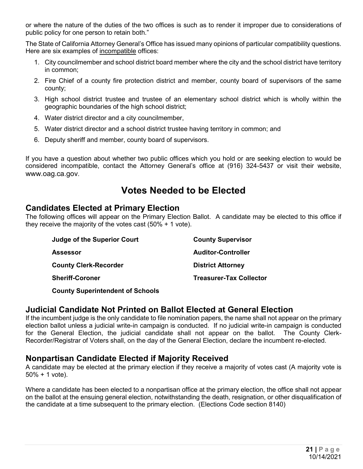or where the nature of the duties of the two offices is such as to render it improper due to considerations of public policy for one person to retain both."

The State of California Attorney General's Office has issued many opinions of particular compatibility questions. Here are six examples of incompatible offices:

- 1. City councilmember and school district board member where the city and the school district have territory in common;
- 2. Fire Chief of a county fire protection district and member, county board of supervisors of the same county;
- 3. High school district trustee and trustee of an elementary school district which is wholly within the geographic boundaries of the high school district;
- 4. Water district director and a city councilmember,
- 5. Water district director and a school district trustee having territory in common; and
- 6. Deputy sheriff and member, county board of supervisors.

<span id="page-20-0"></span>If you have a question about whether two public offices which you hold or are seeking election to would be considered incompatible, contact the Attorney General's office at (916) 324-5437 or visit their website, [www.oag.ca.gov.](http://www.oag.ca.gov/)

# **Votes Needed to be Elected**

#### **Candidates Elected at Primary Election**

The following offices will appear on the Primary Election Ballot. A candidate may be elected to this office if they receive the majority of the votes cast (50% + 1 vote).

| <b>Judge of the Superior Court</b> | <b>County Supervisor</b>       |
|------------------------------------|--------------------------------|
| <b>Assessor</b>                    | <b>Auditor-Controller</b>      |
| <b>County Clerk-Recorder</b>       | <b>District Attorney</b>       |
| <b>Sheriff-Coroner</b>             | <b>Treasurer-Tax Collector</b> |
|                                    |                                |

**County Superintendent of Schools**

## **Judicial Candidate Not Printed on Ballot Elected at General Election**

If the incumbent judge is the only candidate to file nomination papers, the name shall not appear on the primary election ballot unless a judicial write-in campaign is conducted. If no judicial write-in campaign is conducted for the General Election, the judicial candidate shall not appear on the ballot. The County Clerk-Recorder/Registrar of Voters shall, on the day of the General Election, declare the incumbent re-elected.

## **Nonpartisan Candidate Elected if Majority Received**

A candidate may be elected at the primary election if they receive a majority of votes cast (A majority vote is 50% + 1 vote).

Where a candidate has been elected to a nonpartisan office at the primary election, the office shall not appear on the ballot at the ensuing general election, notwithstanding the death, resignation, or other disqualification of the candidate at a time subsequent to the primary election. (Elections Code section 8140)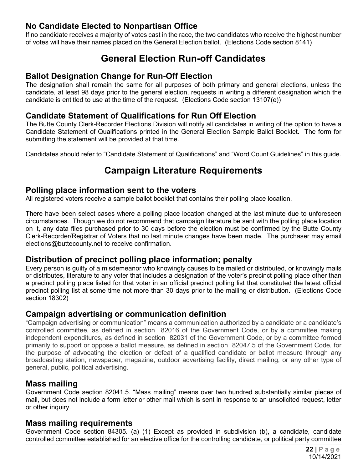## **No Candidate Elected to Nonpartisan Office**

<span id="page-21-0"></span>If no candidate receives a majority of votes cast in the race, the two candidates who receive the highest number of votes will have their names placed on the General Election ballot. (Elections Code section 8141)

# **General Election Run-off Candidates**

## **Ballot Designation Change for Run-Off Election**

The designation shall remain the same for all purposes of both primary and general elections, unless the candidate, at least 98 days prior to the general election, requests in writing a different designation which the candidate is entitled to use at the time of the request. (Elections Code section 13107(e))

#### **Candidate Statement of Qualifications for Run Off Election**

The Butte County Clerk-Recorder Elections Division will notify all candidates in writing of the option to have a Candidate Statement of Qualifications printed in the General Election Sample Ballot Booklet. The form for submitting the statement will be provided at that time.

<span id="page-21-1"></span>Candidates should refer to "Candidate Statement of Qualifications" and "Word Count Guidelines" in this guide.

# **Campaign Literature Requirements**

#### **Polling place information sent to the voters**

All registered voters receive a sample ballot booklet that contains their polling place location.

There have been select cases where a polling place location changed at the last minute due to unforeseen circumstances. Though we do not recommend that campaign literature be sent with the polling place location on it, any data files purchased prior to 30 days before the election must be confirmed by the Butte County Clerk-Recorder/Registrar of Voters that no last minute changes have been made. The purchaser may email [elections@buttecounty.net](mailto:elections@buttecounty.net) to receive confirmation.

## **Distribution of precinct polling place information; penalty**

Every person is guilty of a misdemeanor who knowingly causes to be mailed or distributed, or knowingly mails or distributes, literature to any voter that includes a designation of the voter's precinct polling place other than a precinct polling place listed for that voter in an official precinct polling list that constituted the latest official precinct polling list at some time not more than 30 days prior to the mailing or distribution. (Elections Code section 18302)

#### **Campaign advertising or communication definition**

"Campaign advertising or communication" means a communication authorized by a candidate or a candidate's controlled committee, as defined in section 82016 of the Government Code, or by a committee making independent expenditures, as defined in section 82031 of the Government Code, or by a committee formed primarily to support or oppose a ballot measure, as defined in section 82047.5 of the Government Code, for the purpose of advocating the election or defeat of a qualified candidate or ballot measure through any broadcasting station, newspaper, magazine, outdoor advertising facility, direct mailing, or any other type of general, public, political advertising.

## **Mass mailing**

Government Code section 82041.5. "Mass mailing" means over two hundred substantially similar pieces of mail, but does not include a form letter or other mail which is sent in response to an unsolicited request, letter or other inquiry.

#### **Mass mailing requirements**

Government Code section 84305. (a) (1) Except as provided in subdivision (b), a candidate, candidate controlled committee established for an elective office for the controlling candidate, or political party committee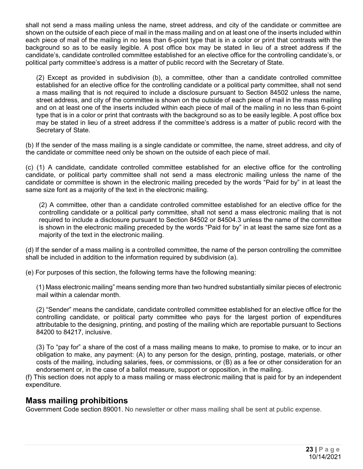shall not send a mass mailing unless the name, street address, and city of the candidate or committee are shown on the outside of each piece of mail in the mass mailing and on at least one of the inserts included within each piece of mail of the mailing in no less than 6-point type that is in a color or print that contrasts with the background so as to be easily legible. A post office box may be stated in lieu of a street address if the candidate's, candidate controlled committee established for an elective office for the controlling candidate's, or political party committee's address is a matter of public record with the Secretary of State.

(2) Except as provided in subdivision (b), a committee, other than a candidate controlled committee established for an elective office for the controlling candidate or a political party committee, shall not send a mass mailing that is not required to include a disclosure pursuant to Section 84502 unless the name, street address, and city of the committee is shown on the outside of each piece of mail in the mass mailing and on at least one of the inserts included within each piece of mail of the mailing in no less than 6-point type that is in a color or print that contrasts with the background so as to be easily legible. A post office box may be stated in lieu of a street address if the committee's address is a matter of public record with the Secretary of State.

(b) If the sender of the mass mailing is a single candidate or committee, the name, street address, and city of the candidate or committee need only be shown on the outside of each piece of mail.

(c) (1) A candidate, candidate controlled committee established for an elective office for the controlling candidate, or political party committee shall not send a mass electronic mailing unless the name of the candidate or committee is shown in the electronic mailing preceded by the words "Paid for by" in at least the same size font as a majority of the text in the electronic mailing.

(2) A committee, other than a candidate controlled committee established for an elective office for the controlling candidate or a political party committee, shall not send a mass electronic mailing that is not required to include a disclosure pursuant to Section 84502 or 84504.3 unless the name of the committee is shown in the electronic mailing preceded by the words "Paid for by" in at least the same size font as a majority of the text in the electronic mailing.

(d) If the sender of a mass mailing is a controlled committee, the name of the person controlling the committee shall be included in addition to the information required by subdivision (a).

(e) For purposes of this section, the following terms have the following meaning:

(1) Mass electronic mailing" means sending more than two hundred substantially similar pieces of electronic mail within a calendar month.

(2) "Sender" means the candidate, candidate controlled committee established for an elective office for the controlling candidate, or political party committee who pays for the largest portion of expenditures attributable to the designing, printing, and posting of the mailing which are reportable pursuant to Sections 84200 to 84217, inclusive.

(3) To "pay for" a share of the cost of a mass mailing means to make, to promise to make, or to incur an obligation to make, any payment: (A) to any person for the design, printing, postage, materials, or other costs of the mailing, including salaries, fees, or commissions, or (B) as a fee or other consideration for an endorsement or, in the case of a ballot measure, support or opposition, in the mailing.

(f) This section does not apply to a mass mailing or mass electronic mailing that is paid for by an independent expenditure.

#### **Mass mailing prohibitions**

Government Code section 89001. No newsletter or other mass mailing shall be sent at public expense.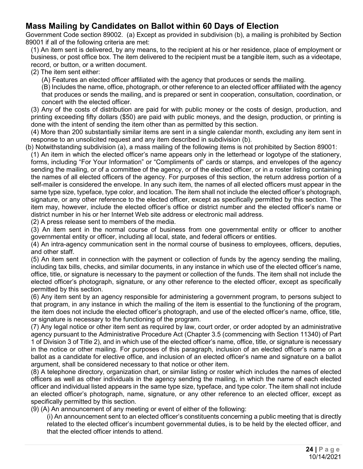## **Mass Mailing by Candidates on Ballot within 60 Days of Election**

Government Code section 89002. (a) Except as provided in subdivision (b), a mailing is prohibited by Section 89001 if all of the following criteria are met:

(1) An item sent is delivered, by any means, to the recipient at his or her residence, place of employment or business, or post office box. The item delivered to the recipient must be a tangible item, such as a videotape, record, or button, or a written document.

(2) The item sent either:

(A) Features an elected officer affiliated with the agency that produces or sends the mailing.

(B) Includes the name, office, photograph, or other reference to an elected officer affiliated with the agency that produces or sends the mailing, and is prepared or sent in cooperation, consultation, coordination, or concert with the elected officer.

(3) Any of the costs of distribution are paid for with public money or the costs of design, production, and printing exceeding fifty dollars (\$50) are paid with public moneys, and the design, production, or printing is done with the intent of sending the item other than as permitted by this section.

(4) More than 200 substantially similar items are sent in a single calendar month, excluding any item sent in response to an unsolicited request and any item described in subdivision (b).

(b) Notwithstanding subdivision (a), a mass mailing of the following items is not prohibited by Section 89001:

(1) An item in which the elected officer's name appears only in the letterhead or logotype of the stationery, forms, including "For Your Information" or "Compliments of" cards or stamps, and envelopes of the agency sending the mailing, or of a committee of the agency, or of the elected officer, or in a roster listing containing the names of all elected officers of the agency. For purposes of this section, the return address portion of a self-mailer is considered the envelope. In any such item, the names of all elected officers must appear in the same type size, typeface, type color, and location. The item shall not include the elected officer's photograph, signature, or any other reference to the elected officer, except as specifically permitted by this section. The item may, however, include the elected officer's office or district number and the elected officer's name or district number in his or her Internet Web site address or electronic mail address.

(2) A press release sent to members of the media.

(3) An item sent in the normal course of business from one governmental entity or officer to another governmental entity or officer, including all local, state, and federal officers or entities.

(4) An intra-agency communication sent in the normal course of business to employees, officers, deputies, and other staff.

(5) An item sent in connection with the payment or collection of funds by the agency sending the mailing, including tax bills, checks, and similar documents, in any instance in which use of the elected officer's name, office, title, or signature is necessary to the payment or collection of the funds. The item shall not include the elected officer's photograph, signature, or any other reference to the elected officer, except as specifically permitted by this section.

(6) Any item sent by an agency responsible for administering a government program, to persons subject to that program, in any instance in which the mailing of the item is essential to the functioning of the program, the item does not include the elected officer's photograph, and use of the elected officer's name, office, title, or signature is necessary to the functioning of the program.

(7) Any legal notice or other item sent as required by law, court order, or order adopted by an administrative agency pursuant to the Administrative Procedure Act (Chapter 3.5 (commencing with Section 11340) of Part 1 of Division 3 of Title 2), and in which use of the elected officer's name, office, title, or signature is necessary in the notice or other mailing. For purposes of this paragraph, inclusion of an elected officer's name on a ballot as a candidate for elective office, and inclusion of an elected officer's name and signature on a ballot argument, shall be considered necessary to that notice or other item.

(8) A telephone directory, organization chart, or similar listing or roster which includes the names of elected officers as well as other individuals in the agency sending the mailing, in which the name of each elected officer and individual listed appears in the same type size, typeface, and type color. The item shall not include an elected officer's photograph, name, signature, or any other reference to an elected officer, except as specifically permitted by this section.

(9) (A) An announcement of any meeting or event of either of the following:

(i) An announcement sent to an elected officer's constituents concerning a public meeting that is directly related to the elected officer's incumbent governmental duties, is to be held by the elected officer, and that the elected officer intends to attend.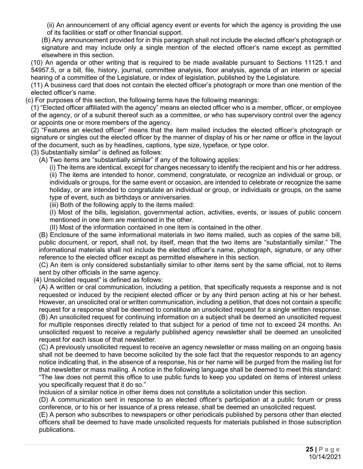(ii) An announcement of any official agency event or events for which the agency is providing the use of its facilities or staff or other financial support.

(B) Any announcement provided for in this paragraph shall not include the elected officer's photograph or signature and may include only a single mention of the elected officer's name except as permitted elsewhere in this section.

(10) An agenda or other writing that is required to be made available pursuant to Sections 11125.1 and 54957.5, or a bill, file, history, journal, committee analysis, floor analysis, agenda of an interim or special hearing of a committee of the Legislature, or index of legislation, published by the Legislature.

(11) A business card that does not contain the elected officer's photograph or more than one mention of the elected officer's name.

(c) For purposes of this section, the following terms have the following meanings:

(1) "Elected officer affiliated with the agency" means an elected officer who is a member, officer, or employee of the agency, or of a subunit thereof such as a committee, or who has supervisory control over the agency or appoints one or more members of the agency.

(2) "Features an elected officer" means that the item mailed includes the elected officer's photograph or signature or singles out the elected officer by the manner of display of his or her name or office in the layout of the document, such as by headlines, captions, type size, typeface, or type color.

(3) Substantially similar" is defined as follows:

(A) Two items are "substantially similar" if any of the following applies:

(i) The items are identical, except for changes necessary to identify the recipient and his or her address. (ii) The items are intended to honor, commend, congratulate, or recognize an individual or group, or individuals or groups, for the same event or occasion, are intended to celebrate or recognize the same holiday, or are intended to congratulate an individual or group, or individuals or groups, on the same type of event, such as birthdays or anniversaries.

(iii) Both of the following apply to the items mailed:

(I) Most of the bills, legislation, governmental action, activities, events, or issues of public concern mentioned in one item are mentioned in the other.

(II) Most of the information contained in one item is contained in the other.

(B) Enclosure of the same informational materials in two items mailed, such as copies of the same bill, public document, or report, shall not, by itself, mean that the two items are "substantially similar." The informational materials shall not include the elected officer's name, photograph, signature, or any other reference to the elected officer except as permitted elsewhere in this section.

(C) An item is only considered substantially similar to other items sent by the same official, not to items sent by other officials in the same agency.

(4) Unsolicited request" is defined as follows:

(A) A written or oral communication, including a petition, that specifically requests a response and is not requested or induced by the recipient elected officer or by any third person acting at his or her behest. However, an unsolicited oral or written communication, including a petition, that does not contain a specific request for a response shall be deemed to constitute an unsolicited request for a single written response. (B) An unsolicited request for continuing information on a subject shall be deemed an unsolicited request for multiple responses directly related to that subject for a period of time not to exceed 24 months. An unsolicited request to receive a regularly published agency newsletter shall be deemed an unsolicited request for each issue of that newsletter.

(C) A previously unsolicited request to receive an agency newsletter or mass mailing on an ongoing basis shall not be deemed to have become solicited by the sole fact that the requestor responds to an agency notice indicating that, in the absence of a response, his or her name will be purged from the mailing list for that newsletter or mass mailing. A notice in the following language shall be deemed to meet this standard: "The law does not permit this office to use public funds to keep you updated on items of interest unless you specifically request that it do so."

Inclusion of a similar notice in other items does not constitute a solicitation under this section.

(D) A communication sent in response to an elected officer's participation at a public forum or press conference, or to his or her issuance of a press release, shall be deemed an unsolicited request.

(E) A person who subscribes to newspapers or other periodicals published by persons other than elected officers shall be deemed to have made unsolicited requests for materials published in those subscription publications.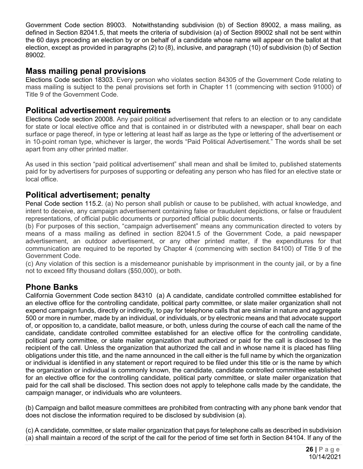Government Code section 89003.Notwithstanding subdivision (b) of Section 89002, a mass mailing, as defined in Section 82041.5, that meets the criteria of subdivision (a) of Section 89002 shall not be sent within the 60 days preceding an election by or on behalf of a candidate whose name will appear on the ballot at that election, except as provided in paragraphs (2) to (8), inclusive, and paragraph (10) of subdivision (b) of Section 89002.

## **Mass mailing penal provisions**

Elections Code section 18303. Every person who violates section 84305 of the Government Code relating to mass mailing is subject to the penal provisions set forth in Chapter 11 (commencing with section 91000) of Title 9 of the Government Code.

#### **Political advertisement requirements**

Elections Code section 20008. Any paid political advertisement that refers to an election or to any candidate for state or local elective office and that is contained in or distributed with a newspaper, shall bear on each surface or page thereof, in type or lettering at least half as large as the type or lettering of the advertisement or in 10-point roman type, whichever is larger, the words "Paid Political Advertisement." The words shall be set apart from any other printed matter.

As used in this section "paid political advertisement" shall mean and shall be limited to, published statements paid for by advertisers for purposes of supporting or defeating any person who has filed for an elective state or local office.

#### **Political advertisement; penalty**

Penal Code section 115.2. (a) No person shall publish or cause to be published, with actual knowledge, and intent to deceive, any campaign advertisement containing false or fraudulent depictions, or false or fraudulent representations, of official public documents or purported official public documents.

(b) For purposes of this section, "campaign advertisement" means any communication directed to voters by means of a mass mailing as defined in section 82041.5 of the Government Code, a paid newspaper advertisement, an outdoor advertisement, or any other printed matter, if the expenditures for that communication are required to be reported by Chapter 4 (commencing with section 84100) of Title 9 of the Government Code.

(c) Any violation of this section is a misdemeanor punishable by imprisonment in the county jail, or by a fine not to exceed fifty thousand dollars (\$50,000), or both.

## **Phone Banks**

California Government Code section 84310 (a) A candidate, candidate controlled committee established for an elective office for the controlling candidate, political party committee, or slate mailer organization shall not expend campaign funds, directly or indirectly, to pay for telephone calls that are similar in nature and aggregate 500 or more in number, made by an individual, or individuals, or by electronic means and that advocate support of, or opposition to, a candidate, ballot measure, or both, unless during the course of each call the name of the candidate, candidate controlled committee established for an elective office for the controlling candidate, political party committee, or slate mailer organization that authorized or paid for the call is disclosed to the recipient of the call. Unless the organization that authorized the call and in whose name it is placed has filing obligations under this title, and the name announced in the call either is the full name by which the organization or individual is identified in any statement or report required to be filed under this title or is the name by which the organization or individual is commonly known, the candidate, candidate controlled committee established for an elective office for the controlling candidate, political party committee, or slate mailer organization that paid for the call shall be disclosed. This section does not apply to telephone calls made by the candidate, the campaign manager, or individuals who are volunteers.

(b) Campaign and ballot measure committees are prohibited from contracting with any phone bank vendor that does not disclose the information required to be disclosed by subdivision (a).

(c) A candidate, committee, or slate mailer organization that pays for telephone calls as described in subdivision (a) shall maintain a record of the script of the call for the period of time set forth in Section 84104. If any of the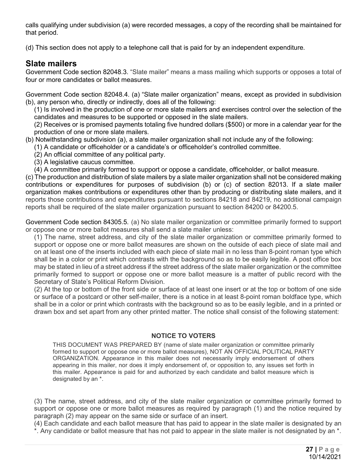calls qualifying under subdivision (a) were recorded messages, a copy of the recording shall be maintained for that period.

(d) This section does not apply to a telephone call that is paid for by an independent expenditure.

## **Slate mailers**

Government Code section 82048.3. "Slate mailer" means a mass mailing which supports or opposes a total of four or more candidates or ballot measures.

Government Code section 82048.4. (a) "Slate mailer organization" means, except as provided in subdivision (b), any person who, directly or indirectly, does all of the following:

(1) Is involved in the production of one or more slate mailers and exercises control over the selection of the candidates and measures to be supported or opposed in the slate mailers.

(2) Receives or is promised payments totaling five hundred dollars (\$500) or more in a calendar year for the production of one or more slate mailers.

(b) Notwithstanding subdivision (a), a slate mailer organization shall not include any of the following:

(1) A candidate or officeholder or a candidate's or officeholder's controlled committee.

- (2) An official committee of any political party.
- (3) A legislative caucus committee.

(4) A committee primarily formed to support or oppose a candidate, officeholder, or ballot measure.

(c) The production and distribution of slate mailers by a slate mailer organization shall not be considered making contributions or expenditures for purposes of subdivision (b) or (c) of section 82013. If a slate mailer organization makes contributions or expenditures other than by producing or distributing slate mailers, and it reports those contributions and expenditures pursuant to sections 84218 and 84219, no additional campaign reports shall be required of the slate mailer organization pursuant to section 84200 or 84200.5.

Government Code section 84305.5. (a) No slate mailer organization or committee primarily formed to support or oppose one or more ballot measures shall send a slate mailer unless:

(1) The name, street address, and city of the slate mailer organization or committee primarily formed to support or oppose one or more ballot measures are shown on the outside of each piece of slate mail and on at least one of the inserts included with each piece of slate mail in no less than 8-point roman type which shall be in a color or print which contrasts with the background so as to be easily legible. A post office box may be stated in lieu of a street address if the street address of the slate mailer organization or the committee primarily formed to support or oppose one or more ballot measure is a matter of public record with the Secretary of State's Political Reform Division.

(2) At the top or bottom of the front side or surface of at least one insert or at the top or bottom of one side or surface of a postcard or other self-mailer, there is a notice in at least 8-point roman boldface type, which shall be in a color or print which contrasts with the background so as to be easily legible, and in a printed or drawn box and set apart from any other printed matter. The notice shall consist of the following statement:

#### **NOTICE TO VOTERS**

THIS DOCUMENT WAS PREPARED BY (name of slate mailer organization or committee primarily formed to support or oppose one or more ballot measures), NOT AN OFFICIAL POLITICAL PARTY ORGANIZATION. Appearance in this mailer does not necessarily imply endorsement of others appearing in this mailer, nor does it imply endorsement of, or opposition to, any issues set forth in this mailer. Appearance is paid for and authorized by each candidate and ballot measure which is designated by an \*.

(3) The name, street address, and city of the slate mailer organization or committee primarily formed to support or oppose one or more ballot measures as required by paragraph (1) and the notice required by paragraph (2) may appear on the same side or surface of an insert.

(4) Each candidate and each ballot measure that has paid to appear in the slate mailer is designated by an \*. Any candidate or ballot measure that has not paid to appear in the slate mailer is not designated by an \*.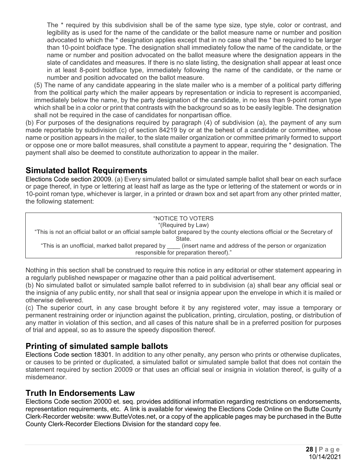The \* required by this subdivision shall be of the same type size, type style, color or contrast, and legibility as is used for the name of the candidate or the ballot measure name or number and position advocated to which the \* designation applies except that in no case shall the \* be required to be larger than 10-point boldface type. The designation shall immediately follow the name of the candidate, or the name or number and position advocated on the ballot measure where the designation appears in the slate of candidates and measures. If there is no slate listing, the designation shall appear at least once in at least 8-point boldface type, immediately following the name of the candidate, or the name or number and position advocated on the ballot measure.

(5) The name of any candidate appearing in the slate mailer who is a member of a political party differing from the political party which the mailer appears by representation or indicia to represent is accompanied, immediately below the name, by the party designation of the candidate, in no less than 9-point roman type which shall be in a color or print that contrasts with the background so as to be easily legible. The designation shall not be required in the case of candidates for nonpartisan office.

(b) For purposes of the designations required by paragraph (4) of subdivision (a), the payment of any sum made reportable by subdivision (c) of section 84219 by or at the behest of a candidate or committee, whose name or position appears in the mailer, to the slate mailer organization or committee primarily formed to support or oppose one or more ballot measures, shall constitute a payment to appear, requiring the \* designation. The payment shall also be deemed to constitute authorization to appear in the mailer.

## **Simulated ballot Requirements**

Elections Code section 20009. (a) Every simulated ballot or simulated sample ballot shall bear on each surface or page thereof, in type or lettering at least half as large as the type or lettering of the statement or words or in 10-point roman type, whichever is larger, in a printed or drawn box and set apart from any other printed matter, the following statement:

"NOTICE TO VOTERS "(Required by Law) "This is not an official ballot or an official sample ballot prepared by the county elections official or the Secretary of State. "This is an unofficial, marked ballot prepared by \_\_\_\_ (insert name and address of the person or organization responsible for preparation thereof)."

Nothing in this section shall be construed to require this notice in any editorial or other statement appearing in a regularly published newspaper or magazine other than a paid political advertisement.

(b) No simulated ballot or simulated sample ballot referred to in subdivision (a) shall bear any official seal or the insignia of any public entity, nor shall that seal or insignia appear upon the envelope in which it is mailed or otherwise delivered.

(c) The superior court, in any case brought before it by any registered voter, may issue a temporary or permanent restraining order or injunction against the publication, printing, circulation, posting, or distribution of any matter in violation of this section, and all cases of this nature shall be in a preferred position for purposes of trial and appeal, so as to assure the speedy disposition thereof.

## **Printing of simulated sample ballots**

Elections Code section 18301. In addition to any other penalty, any person who prints or otherwise duplicates, or causes to be printed or duplicated, a simulated ballot or simulated sample ballot that does not contain the statement required by section 20009 or that uses an official seal or insignia in violation thereof, is guilty of a misdemeanor.

#### **Truth In Endorsements Law**

Elections Code section 20000 et. seq. provides additional information regarding restrictions on endorsements, representation requirements, etc. A link is available for viewing the Elections Code Online on the Butte County Clerk-Recorder website: www.ButteVotes.net, or a copy of the applicable pages may be purchased in the Butte County Clerk-Recorder Elections Division for the standard copy fee.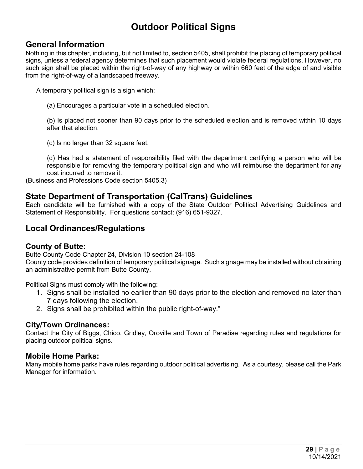# **Outdoor Political Signs**

#### <span id="page-28-0"></span>**General Information**

Nothing in this chapter, including, but not limited to, section 5405, shall prohibit the placing of temporary political signs, unless a federal agency determines that such placement would violate federal regulations. However, no such sign shall be placed within the right-of-way of any highway or within 660 feet of the edge of and visible from the right-of-way of a landscaped freeway.

A temporary political sign is a sign which:

(a) Encourages a particular vote in a scheduled election.

(b) Is placed not sooner than 90 days prior to the scheduled election and is removed within 10 days after that election.

(c) Is no larger than 32 square feet.

(d) Has had a statement of responsibility filed with the department certifying a person who will be responsible for removing the temporary political sign and who will reimburse the department for any cost incurred to remove it.

(Business and Professions Code section 5405.3)

#### **State Department of Transportation (CalTrans) Guidelines**

Each candidate will be furnished with a copy of the State Outdoor Political Advertising Guidelines and Statement of Responsibility. For questions contact: (916) 651-9327.

#### **Local Ordinances/Regulations**

#### **County of Butte:**

Butte County Code Chapter 24, Division 10 section 24-108

County code provides definition of temporary political signage. Such signage may be installed without obtaining an administrative permit from Butte County.

Political Signs must comply with the following:

- 1. Signs shall be installed no earlier than 90 days prior to the election and removed no later than 7 days following the election.
- 2. Signs shall be prohibited within the public right-of-way."

#### **City/Town Ordinances:**

Contact the City of Biggs, Chico, Gridley, Oroville and Town of Paradise regarding rules and regulations for placing outdoor political signs.

#### **Mobile Home Parks:**

Many mobile home parks have rules regarding outdoor political advertising. As a courtesy, please call the Park Manager for information.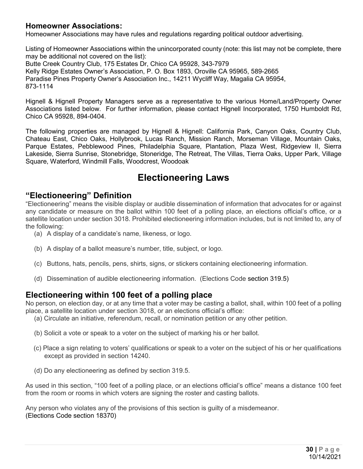#### **Homeowner Associations:**

Homeowner Associations may have rules and regulations regarding political outdoor advertising.

Listing of Homeowner Associations within the unincorporated county (note: this list may not be complete, there may be additional not covered on the list): Butte Creek Country Club, 175 Estates Dr, Chico CA 95928, 343-7979 Kelly Ridge Estates Owner's Association, P. O. Box 1893, Oroville CA 95965, 589-2665 Paradise Pines Property Owner's Association Inc., 14211 Wycliff Way, Magalia CA 95954, 873-1114

Hignell & Hignell Property Managers serve as a representative to the various Home/Land/Property Owner Associations listed below. For further information, please contact Hignell Incorporated, 1750 Humboldt Rd, Chico CA 95928, 894-0404.

The following properties are managed by Hignell & Hignell: California Park, Canyon Oaks, Country Club, Chateau East, Chico Oaks, Hollybrook, Lucas Ranch, Mission Ranch, Morseman Village, Mountain Oaks, Parque Estates, Pebblewood Pines, Philadelphia Square, Plantation, Plaza West, Ridgeview II, Sierra Lakeside, Sierra Sunrise, Stonebridge, Stoneridge, The Retreat, The Villas, Tierra Oaks, Upper Park, Village Square, Waterford, Windmill Falls, Woodcrest, Woodoak

## **Electioneering Laws**

#### <span id="page-29-0"></span>**"Electioneering" Definition**

"Electioneering" means the visible display or audible dissemination of information that advocates for or against any candidate or measure on the ballot within 100 feet of a polling place, an elections official's office, or a satellite location under section 3018. Prohibited electioneering information includes, but is not limited to, any of the following:

- (a) A display of a candidate's name, likeness, or logo.
- (b) A display of a ballot measure's number, title, subject, or logo.
- (c) Buttons, hats, pencils, pens, shirts, signs, or stickers containing electioneering information.
- (d) Dissemination of audible electioneering information. (Elections Code section 319.5)

#### **Electioneering within 100 feet of a polling place**

No person, on election day, or at any time that a voter may be casting a ballot, shall, within 100 feet of a polling place, a satellite location under section 3018, or an elections official's office:

- (a) Circulate an initiative, referendum, recall, or nomination petition or any other petition.
- (b) Solicit a vote or speak to a voter on the subject of marking his or her ballot.
- (c) Place a sign relating to voters' qualifications or speak to a voter on the subject of his or her qualifications except as provided in section 14240.
- (d) Do any electioneering as defined by section 319.5.

As used in this section, "100 feet of a polling place, or an elections official's office" means a distance 100 feet from the room or rooms in which voters are signing the roster and casting ballots.

Any person who violates any of the provisions of this section is guilty of a misdemeanor. (Elections Code section 18370)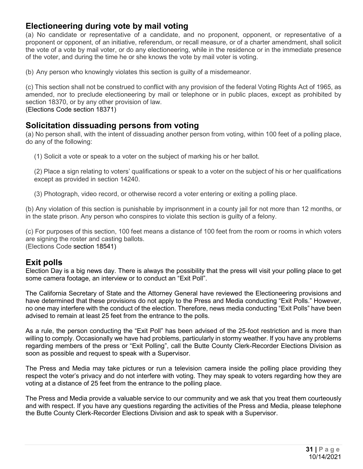## **Electioneering during vote by mail voting**

(a) No candidate or representative of a candidate, and no proponent, opponent, or representative of a proponent or opponent, of an initiative, referendum, or recall measure, or of a charter amendment, shall solicit the vote of a vote by mail voter, or do any electioneering, while in the residence or in the immediate presence of the voter, and during the time he or she knows the vote by mail voter is voting.

(b) Any person who knowingly violates this section is guilty of a misdemeanor.

(c) This section shall not be construed to conflict with any provision of the federal Voting Rights Act of 1965, as amended, nor to preclude electioneering by mail or telephone or in public places, except as prohibited by section 18370, or by any other provision of law. (Elections Code section 18371)

#### **Solicitation dissuading persons from voting**

(a) No person shall, with the intent of dissuading another person from voting, within 100 feet of a polling place, do any of the following:

(1) Solicit a vote or speak to a voter on the subject of marking his or her ballot.

(2) Place a sign relating to voters' qualifications or speak to a voter on the subject of his or her qualifications except as provided in section 14240.

(3) Photograph, video record, or otherwise record a voter entering or exiting a polling place.

(b) Any violation of this section is punishable by imprisonment in a county jail for not more than 12 months, or in the state prison. Any person who conspires to violate this section is guilty of a felony.

(c) For purposes of this section, 100 feet means a distance of 100 feet from the room or rooms in which voters are signing the roster and casting ballots. (Elections Code section 18541)

## **Exit polls**

Election Day is a big news day. There is always the possibility that the press will visit your polling place to get some camera footage, an interview or to conduct an "Exit Poll".

The California Secretary of State and the Attorney General have reviewed the Electioneering provisions and have determined that these provisions do not apply to the Press and Media conducting "Exit Polls." However, no one may interfere with the conduct of the election. Therefore, news media conducting "Exit Polls" have been advised to remain at least 25 feet from the entrance to the polls.

As a rule, the person conducting the "Exit Poll" has been advised of the 25-foot restriction and is more than willing to comply. Occasionally we have had problems, particularly in stormy weather. If you have any problems regarding members of the press or "Exit Polling", call the Butte County Clerk-Recorder Elections Division as soon as possible and request to speak with a Supervisor.

The Press and Media may take pictures or run a television camera inside the polling place providing they respect the voter's privacy and do not interfere with voting. They may speak to voters regarding how they are voting at a distance of 25 feet from the entrance to the polling place.

The Press and Media provide a valuable service to our community and we ask that you treat them courteously and with respect. If you have any questions regarding the activities of the Press and Media, please telephone the Butte County Clerk-Recorder Elections Division and ask to speak with a Supervisor.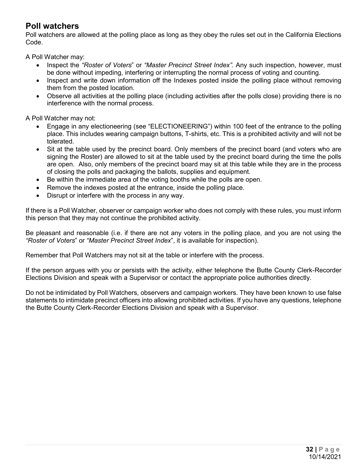## **Poll watchers**

Poll watchers are allowed at the polling place as long as they obey the rules set out in the California Elections Code.

A Poll Watcher may:

- Inspect the *"Roster of Voters*" or *"Master Precinct Street Index".* Any such inspection, however, must be done without impeding, interfering or interrupting the normal process of voting and counting.
- Inspect and write down information off the Indexes posted inside the polling place without removing them from the posted location.
- Observe all activities at the polling place (including activities after the polls close) providing there is no interference with the normal process.

A Poll Watcher may not:

- Engage in any electioneering (see "ELECTIONEERING") within 100 feet of the entrance to the polling place. This includes wearing campaign buttons, T-shirts, etc. This is a prohibited activity and will not be tolerated.
- Sit at the table used by the precinct board. Only members of the precinct board (and voters who are signing the Roster) are allowed to sit at the table used by the precinct board during the time the polls are open. Also, only members of the precinct board may sit at this table while they are in the process of closing the polls and packaging the ballots, supplies and equipment.
- Be within the immediate area of the voting booths while the polls are open.
- Remove the indexes posted at the entrance, inside the polling place.
- Disrupt or interfere with the process in any way.

If there is a Poll Watcher, observer or campaign worker who does not comply with these rules, you must inform this person that they may not continue the prohibited activity.

Be pleasant and reasonable (i.e. if there are not any voters in the polling place, and you are not using the *"Roster of Voters*" or *"Master Precinct Street Index*", it is available for inspection).

Remember that Poll Watchers may not sit at the table or interfere with the process.

If the person argues with you or persists with the activity, either telephone the Butte County Clerk-Recorder Elections Division and speak with a Supervisor or contact the appropriate police authorities directly.

Do not be intimidated by Poll Watchers, observers and campaign workers. They have been known to use false statements to intimidate precinct officers into allowing prohibited activities. If you have any questions, telephone the Butte County Clerk-Recorder Elections Division and speak with a Supervisor.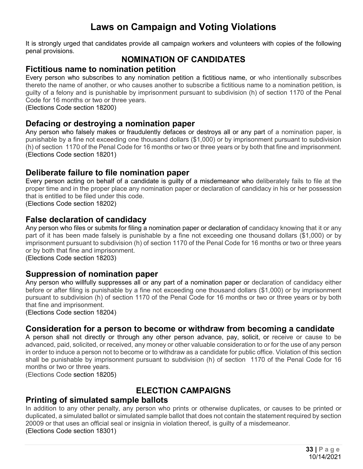# **Laws on Campaign and Voting Violations**

<span id="page-32-0"></span>It is strongly urged that candidates provide all campaign workers and volunteers with copies of the following penal provisions.

## **NOMINATION OF CANDIDATES**

#### **Fictitious name to nomination petition**

Every person who subscribes to any nomination petition a fictitious name, or who intentionally subscribes thereto the name of another, or who causes another to subscribe a fictitious name to a nomination petition, is guilty of a felony and is punishable by imprisonment pursuant to subdivision (h) of section 1170 of the Penal Code for 16 months or two or three years.

(Elections Code section 18200)

#### **Defacing or destroying a nomination paper**

Any person who falsely makes or fraudulently defaces or destroys all or any part of a nomination paper, is punishable by a fine not exceeding one thousand dollars (\$1,000) or by imprisonment pursuant to subdivision (h) of section 1170 of the Penal Code for 16 months or two or three years or by both that fine and imprisonment. (Elections Code section [18201\)](javascript:submitCodesValues()

#### **Deliberate failure to file nomination paper**

Every person acting on behalf of a candidate is guilty of a misdemeanor who deliberately fails to file at the proper time and in the proper place any nomination paper or declaration of candidacy in his or her possession that is entitled to be filed under this code.

(Elections Code section 18202)

#### **False declaration of candidacy**

Any person who files or submits for filing a nomination paper or declaration of candidacy knowing that it or any part of it has been made falsely is punishable by a fine not exceeding one thousand dollars (\$1,000) or by imprisonment pursuant to subdivision (h) of section 1170 of the Penal Code for 16 months or two or three years or by both that fine and imprisonment.

(Elections Code section 18203)

#### **Suppression of nomination paper**

Any person who willfully suppresses all or any part of a nomination paper or declaration of candidacy either before or after filing is punishable by a fine not exceeding one thousand dollars (\$1,000) or by imprisonment pursuant to subdivision (h) of section 1170 of the Penal Code for 16 months or two or three years or by both that fine and imprisonment.

(Elections Code section [18204\)](javascript:submitCodesValues()

## **Consideration for a person to become or withdraw from becoming a candidate**

A person shall not directly or through any other person advance, pay, solicit, or receive or cause to be advanced, paid, solicited, or received, any money or other valuable consideration to or for the use of any person in order to induce a person not to become or to withdraw as a candidate for public office. Violation of this section shall be punishable by imprisonment pursuant to subdivision (h) of section 1170 of the Penal Code for 16 months or two or three years.

(Elections Code section 18205)

# **ELECTION CAMPAIGNS**

## **Printing of simulated sample ballots**

In addition to any other penalty, any person who prints or otherwise duplicates, or causes to be printed or duplicated, a simulated ballot or simulated sample ballot that does not contain the statement required by section 20009 or that uses an official seal or insignia in violation thereof, is guilty of a misdemeanor. (Elections Code section 18301)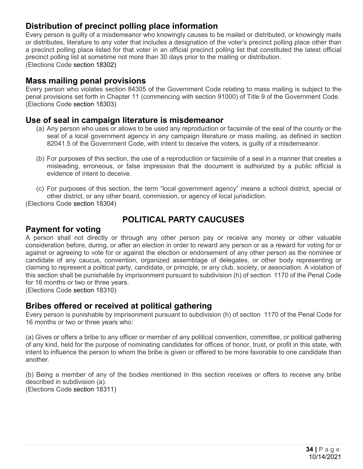## **Distribution of precinct polling place information**

Every person is guilty of a misdemeanor who knowingly causes to be mailed or distributed, or knowingly mails or distributes, literature to any voter that includes a designation of the voter's precinct polling place other than a precinct polling place listed for that voter in an official precinct polling list that constituted the latest official precinct polling list at sometime not more than 30 days prior to the mailing or distribution. (Elections Code section 18302)

#### **Mass mailing penal provisions**

Every person who violates section 84305 of the Government Code relating to mass mailing is subject to the penal provisions set forth in Chapter 11 (commencing with section 91000) of Title 9 of the Government Code. (Elections Code section 18303)

#### **Use of seal in campaign literature is misdemeanor**

- (a) Any person who uses or allows to be used any reproduction or facsimile of the seal of the county or the seal of a local government agency in any campaign literature or mass mailing, as defined in section 82041.5 of the Government Code, with intent to deceive the voters, is guilty of a misdemeanor.
- (b) For purposes of this section, the use of a reproduction or facsimile of a seal in a manner that creates a misleading, erroneous, or false impression that the document is authorized by a public official is evidence of intent to deceive.
- (c) For purposes of this section, the term "local government agency" means a school district, special or other district, or any other board, commission, or agency of local jurisdiction.

(Elections Code section 18304)

## **POLITICAL PARTY CAUCUSES**

## **Payment for voting**

A person shall not directly or through any other person pay or receive any money or other valuable consideration before, during, or after an election in order to reward any person or as a reward for voting for or against or agreeing to vote for or against the election or endorsement of any other person as the nominee or candidate of any caucus, convention, organized assemblage of delegates, or other body representing or claiming to represent a political party, candidate, or principle, or any club, society, or association. A violation of this section shall be punishable by imprisonment pursuant to subdivision (h) of section 1170 of the Penal Code for 16 months or two or three years.

(Elections Code section 18310)

#### **Bribes offered or received at political gathering**

Every person is punishable by imprisonment pursuant to subdivision (h) of section 1170 of the Penal Code for 16 months or two or three years who:

(a) Gives or offers a bribe to any officer or member of any political convention, committee, or political gathering of any kind, held for the purpose of nominating candidates for offices of honor, trust, or profit in this state, with intent to influence the person to whom the bribe is given or offered to be more favorable to one candidate than another.

(b) Being a member of any of the bodies mentioned in this section receives or offers to receive any bribe described in subdivision (a).

(Elections Code section 18311)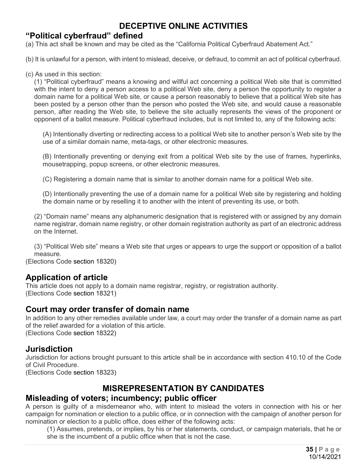## **DECEPTIVE ONLINE ACTIVITIES**

## **"Political cyberfraud" defined**

(a) This act shall be known and may be cited as the "California Political Cyberfraud Abatement Act."

(b) It is unlawful for a person, with intent to mislead, deceive, or defraud, to commit an act of political cyberfraud.

(c) As used in this section:

(1) "Political cyberfraud" means a knowing and willful act concerning a political Web site that is committed with the intent to deny a person access to a political Web site, deny a person the opportunity to register a domain name for a political Web site, or cause a person reasonably to believe that a political Web site has been posted by a person other than the person who posted the Web site, and would cause a reasonable person, after reading the Web site, to believe the site actually represents the views of the proponent or opponent of a ballot measure. Political cyberfraud includes, but is not limited to, any of the following acts:

(A) Intentionally diverting or redirecting access to a political Web site to another person's Web site by the use of a similar domain name, meta-tags, or other electronic measures.

(B) Intentionally preventing or denying exit from a political Web site by the use of frames, hyperlinks, mousetrapping, popup screens, or other electronic measures.

(C) Registering a domain name that is similar to another domain name for a political Web site.

(D) Intentionally preventing the use of a domain name for a political Web site by registering and holding the domain name or by reselling it to another with the intent of preventing its use, or both.

(2) "Domain name" means any alphanumeric designation that is registered with or assigned by any domain name registrar, domain name registry, or other domain registration authority as part of an electronic address on the Internet.

(3) "Political Web site" means a Web site that urges or appears to urge the support or opposition of a ballot measure.

(Elections Code section 18320)

## **Application of article**

This article does not apply to a domain name registrar, registry, or registration authority. (Elections Code section 18321)

## **Court may order transfer of domain name**

In addition to any other remedies available under law, a court may order the transfer of a domain name as part of the relief awarded for a violation of this article. (Elections Code section 18322)

## **Jurisdiction**

Jurisdiction for actions brought pursuant to this article shall be in accordance with section 410.10 of the Code of Civil Procedure.

(Elections Code section 18323)

## **MISREPRESENTATION BY CANDIDATES**

## **Misleading of voters; incumbency; public officer**

A person is guilty of a misdemeanor who, with intent to mislead the voters in connection with his or her campaign for nomination or election to a public office, or in connection with the campaign of another person for nomination or election to a public office, does either of the following acts:

(1) Assumes, pretends, or implies, by his or her statements, conduct, or campaign materials, that he or she is the incumbent of a public office when that is not the case.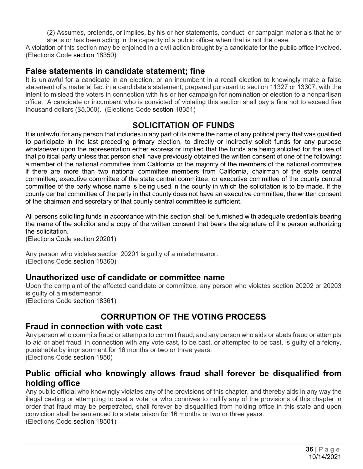(2) Assumes, pretends, or implies, by his or her statements, conduct, or campaign materials that he or she is or has been acting in the capacity of a public officer when that is not the case.

A violation of this section may be enjoined in a civil action brought by a candidate for the public office involved. (Elections Code section 18350)

#### **False statements in candidate statement; fine**

It is unlawful for a candidate in an election, or an incumbent in a recall election to knowingly make a false statement of a material fact in a candidate's statement, prepared pursuant to section 11327 or 13307, with the intent to mislead the voters in connection with his or her campaign for nomination or election to a nonpartisan office. A candidate or incumbent who is convicted of violating this section shall pay a fine not to exceed five thousand dollars (\$5,000). (Elections Code section 18351)

#### **SOLICITATION OF FUNDS**

It is unlawful for any person that includes in any part of its name the name of any political party that was qualified to participate in the last preceding primary election, to directly or indirectly solicit funds for any purpose whatsoever upon the representation either express or implied that the funds are being solicited for the use of that political party unless that person shall have previously obtained the written consent of one of the following: a member of the national committee from California or the majority of the members of the national committee if there are more than two national committee members from California, chairman of the state central committee, executive committee of the state central committee, or executive committee of the county central committee of the party whose name is being used in the county in which the solicitation is to be made. If the county central committee of the party in that county does not have an executive committee, the written consent of the chairman and secretary of that county central committee is sufficient.

All persons soliciting funds in accordance with this section shall be furnished with adequate credentials bearing the name of the solicitor and a copy of the written consent that bears the signature of the person authorizing the solicitation.

(Elections Code section 20201)

Any person who violates section 20201 is guilty of a misdemeanor. (Elections Code section 18360)

#### **Unauthorized use of candidate or committee name**

Upon the complaint of the affected candidate or committee, any person who violates section 20202 or 20203 is guilty of a misdemeanor.

(Elections Code section 18361)

## **CORRUPTION OF THE VOTING PROCESS**

#### **Fraud in connection with vote cast**

Any person who commits fraud or attempts to commit fraud, and any person who aids or abets fraud or attempts to aid or abet fraud, in connection with any vote cast, to be cast, or attempted to be cast, is guilty of a felony, punishable by imprisonment for 16 months or two or three years. (Elections Code section 1850)

## **Public official who knowingly allows fraud shall forever be disqualified from holding office**

Any public official who knowingly violates any of the provisions of this chapter, and thereby aids in any way the illegal casting or attempting to cast a vote, or who connives to nullify any of the provisions of this chapter in order that fraud may be perpetrated, shall forever be disqualified from holding office in this state and upon conviction shall be sentenced to a state prison for 16 months or two or three years. (Elections Code section 18501)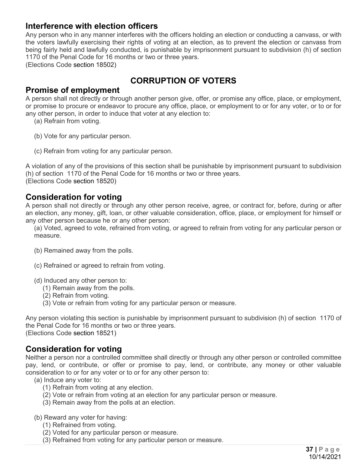#### **Interference with election officers**

Any person who in any manner interferes with the officers holding an election or conducting a canvass, or with the voters lawfully exercising their rights of voting at an election, as to prevent the election or canvass from being fairly held and lawfully conducted, is punishable by imprisonment pursuant to subdivision (h) of section 1170 of the Penal Code for 16 months or two or three years.

(Elections Code section 18502)

## **CORRUPTION OF VOTERS**

#### **Promise of employment**

A person shall not directly or through another person give, offer, or promise any office, place, or employment, or promise to procure or endeavor to procure any office, place, or employment to or for any voter, or to or for any other person, in order to induce that voter at any election to:

- (a) Refrain from voting.
- (b) Vote for any particular person.
- (c) Refrain from voting for any particular person.

A violation of any of the provisions of this section shall be punishable by imprisonment pursuant to subdivision (h) of section 1170 of the Penal Code for 16 months or two or three years. (Elections Code section 18520)

#### **Consideration for voting**

A person shall not directly or through any other person receive, agree, or contract for, before, during or after an election, any money, gift, loan, or other valuable consideration, office, place, or employment for himself or any other person because he or any other person:

(a) Voted, agreed to vote, refrained from voting, or agreed to refrain from voting for any particular person or measure.

- (b) Remained away from the polls.
- (c) Refrained or agreed to refrain from voting.
- (d) Induced any other person to:
	- (1) Remain away from the polls.
	- (2) Refrain from voting.
	- (3) Vote or refrain from voting for any particular person or measure.

Any person violating this section is punishable by imprisonment pursuant to subdivision (h) of section 1170 of the Penal Code for 16 months or two or three years. (Elections Code section 18521)

#### **Consideration for voting**

Neither a person nor a controlled committee shall directly or through any other person or controlled committee pay, lend, or contribute, or offer or promise to pay, lend, or contribute, any money or other valuable consideration to or for any voter or to or for any other person to:

(a) Induce any voter to:

- (1) Refrain from voting at any election.
- (2) Vote or refrain from voting at an election for any particular person or measure.
- (3) Remain away from the polls at an election.

(b) Reward any voter for having:

- (1) Refrained from voting.
- (2) Voted for any particular person or measure.
- (3) Refrained from voting for any particular person or measure.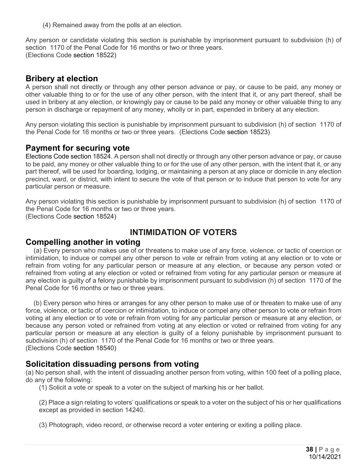(4) Remained away from the polls at an election.

Any person or candidate violating this section is punishable by imprisonment pursuant to subdivision (h) of section 1170 of the Penal Code for 16 months or two or three years. (Elections Code section 18522)

#### **Bribery at election**

A person shall not directly or through any other person advance or pay, or cause to be paid, any money or other valuable thing to or for the use of any other person, with the intent that it, or any part thereof, shall be used in bribery at any election, or knowingly pay or cause to be paid any money or other valuable thing to any person in discharge or repayment of any money, wholly or in part, expended in bribery at any election.

Any person violating this section is punishable by imprisonment pursuant to subdivision (h) of section 1170 of the Penal Code for 16 months or two or three years. (Elections Code section 18523)

#### **Payment for securing vote**

Elections Code section 18524. A person shall not directly or through any other person advance or pay, or cause to be paid, any money or other valuable thing to or for the use of any other person, with the intent that it, or any part thereof, will be used for boarding, lodging, or maintaining a person at any place or domicile in any election precinct, ward, or district, with intent to secure the vote of that person or to induce that person to vote for any particular person or measure.

Any person violating this section is punishable by imprisonment pursuant to subdivision (h) of section 1170 of the Penal Code for 16 months or two or three years. (Elections Code section 18524)

## **INTIMIDATION OF VOTERS**

#### **Compelling another in voting**

(a) Every person who makes use of or threatens to make use of any force, violence, or tactic of coercion or intimidation, to induce or compel any other person to vote or refrain from voting at any election or to vote or refrain from voting for any particular person or measure at any election, or because any person voted or refrained from voting at any election or voted or refrained from voting for any particular person or measure at any election is guilty of a felony punishable by imprisonment pursuant to subdivision (h) of section 1170 of the Penal Code for 16 months or two or three years.

(b) Every person who hires or arranges for any other person to make use of or threaten to make use of any force, violence, or tactic of coercion or intimidation, to induce or compel any other person to vote or refrain from voting at any election or to vote or refrain from voting for any particular person or measure at any election, or because any person voted or refrained from voting at any election or voted or refrained from voting for any particular person or measure at any election is guilty of a felony punishable by imprisonment pursuant to subdivision (h) of section 1170 of the Penal Code for 16 months or two or three years. (Elections Code section 18540)

#### **Solicitation dissuading persons from voting**

(a) No person shall, with the intent of dissuading another person from voting, within 100 feet of a polling place, do any of the following:

(1) Solicit a vote or speak to a voter on the subject of marking his or her ballot.

(2) Place a sign relating to voters' qualifications or speak to a voter on the subject of his or her qualifications except as provided in section 14240.

(3) Photograph, video record, or otherwise record a voter entering or exiting a polling place.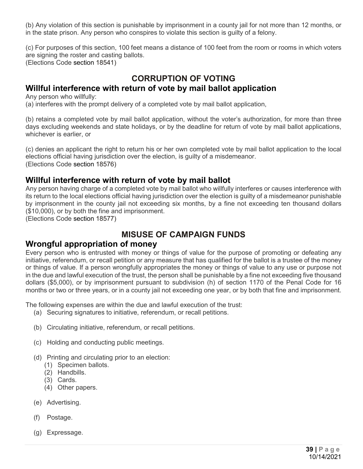(b) Any violation of this section is punishable by imprisonment in a county jail for not more than 12 months, or in the state prison. Any person who conspires to violate this section is guilty of a felony.

(c) For purposes of this section, 100 feet means a distance of 100 feet from the room or rooms in which voters are signing the roster and casting ballots. (Elections Code section 18541)

# **CORRUPTION OF VOTING**

## **Willful interference with return of vote by mail ballot application**

Any person who willfully:

(a) interferes with the prompt delivery of a completed vote by mail ballot application,

(b) retains a completed vote by mail ballot application, without the voter's authorization, for more than three days excluding weekends and state holidays, or by the deadline for return of vote by mail ballot applications, whichever is earlier, or

(c) denies an applicant the right to return his or her own completed vote by mail ballot application to the local elections official having jurisdiction over the election, is guilty of a misdemeanor. (Elections Code section 18576)

## **Willful interference with return of vote by mail ballot**

Any person having charge of a completed vote by mail ballot who willfully interferes or causes interference with its return to the local elections official having jurisdiction over the election is guilty of a misdemeanor punishable by imprisonment in the county jail not exceeding six months, by a fine not exceeding ten thousand dollars (\$10,000), or by both the fine and imprisonment.

(Elections Code section 18577)

## **MISUSE OF CAMPAIGN FUNDS**

#### **Wrongful appropriation of money**

Every person who is entrusted with money or things of value for the purpose of promoting or defeating any initiative, referendum, or recall petition or any measure that has qualified for the ballot is a trustee of the money or things of value. If a person wrongfully appropriates the money or things of value to any use or purpose not in the due and lawful execution of the trust, the person shall be punishable by a fine not exceeding five thousand dollars (\$5,000), or by imprisonment pursuant to subdivision (h) of section 1170 of the Penal Code for 16 months or two or three years, or in a county jail not exceeding one year, or by both that fine and imprisonment.

The following expenses are within the due and lawful execution of the trust:

- (a) Securing signatures to initiative, referendum, or recall petitions.
- (b) Circulating initiative, referendum, or recall petitions.
- (c) Holding and conducting public meetings.
- (d) Printing and circulating prior to an election:
	- (1) Specimen ballots.
	- (2) Handbills.
	- (3) Cards.
	- (4) Other papers.
- (e) Advertising.
- (f) Postage.
- (g) Expressage.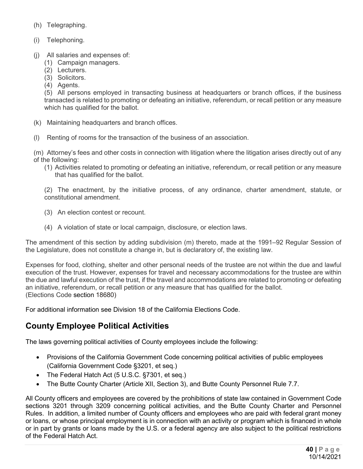- (h) Telegraphing.
- (i) Telephoning.
- (j) All salaries and expenses of:
	- (1) Campaign managers.
	- (2) Lecturers.
	- (3) Solicitors.
	- (4) Agents.

(5) All persons employed in transacting business at headquarters or branch offices, if the business transacted is related to promoting or defeating an initiative, referendum, or recall petition or any measure which has qualified for the ballot.

- (k) Maintaining headquarters and branch offices.
- (l) Renting of rooms for the transaction of the business of an association.

(m) Attorney's fees and other costs in connection with litigation where the litigation arises directly out of any of the following:

(1) Activities related to promoting or defeating an initiative, referendum, or recall petition or any measure that has qualified for the ballot.

(2) The enactment, by the initiative process, of any ordinance, charter amendment, statute, or constitutional amendment.

- (3) An election contest or recount.
- (4) A violation of state or local campaign, disclosure, or election laws.

The amendment of this section by adding subdivision (m) thereto, made at the 1991–92 Regular Session of the Legislature, does not constitute a change in, but is declaratory of, the existing law.

Expenses for food, clothing, shelter and other personal needs of the trustee are not within the due and lawful execution of the trust. However, expenses for travel and necessary accommodations for the trustee are within the due and lawful execution of the trust, if the travel and accommodations are related to promoting or defeating an initiative, referendum, or recall petition or any measure that has qualified for the ballot. (Elections Code section 18680)

For additional information see Division 18 of the California Elections Code.

## **County Employee Political Activities**

The laws governing political activities of County employees include the following:

- <span id="page-39-0"></span>• Provisions of the California Government Code concerning political activities of public employees (California Government Code §3201, et seq.)
- The Federal Hatch Act (5 U.S.C. §7301, et seq.)
- The Butte County Charter (Article XII, Section 3), and Butte County Personnel Rule 7.7.

All County officers and employees are covered by the prohibitions of state law contained in Government Code sections 3201 through 3209 concerning political activities, and the Butte County Charter and Personnel Rules. In addition, a limited number of County officers and employees who are paid with federal grant money or loans, or whose principal employment is in connection with an activity or program which is financed in whole or in part by grants or loans made by the U.S. or a federal agency are also subject to the political restrictions of the Federal Hatch Act.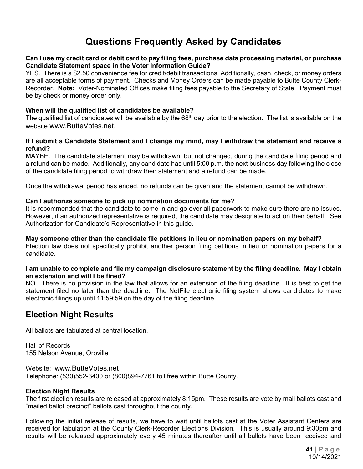# **Questions Frequently Asked by Candidates**

#### <span id="page-40-0"></span>**Can I use my credit card or debit card to pay filing fees, purchase data processing material, or purchase Candidate Statement space in the Voter Information Guide?**

YES. There is a \$2.50 convenience fee for credit/debit transactions. Additionally, cash, check, or money orders are all acceptable forms of payment. Checks and Money Orders can be made payable to Butte County Clerk-Recorder. **Note:** Voter-Nominated Offices make filing fees payable to the Secretary of State. Payment must be by check or money order only.

#### **When will the qualified list of candidates be available?**

The qualified list of candidates will be available by the  $68<sup>th</sup>$  day prior to the election. The list is available on the website [www.ButteVotes.net.](http://buttevotes.net/)

#### **If I submit a Candidate Statement and I change my mind, may I withdraw the statement and receive a refund?**

MAYBE. The candidate statement may be withdrawn, but not changed, during the candidate filing period and a refund can be made. Additionally, any candidate has until 5:00 p.m. the next business day following the close of the candidate filing period to withdraw their statement and a refund can be made.

Once the withdrawal period has ended, no refunds can be given and the statement cannot be withdrawn.

#### **Can I authorize someone to pick up nomination documents for me?**

It is recommended that the candidate to come in and go over all paperwork to make sure there are no issues. However, if an authorized representative is required, the candidate may designate to act on their behalf. See Authorization for Candidate's Representative in this guide.

#### **May someone other than the candidate file petitions in lieu or nomination papers on my behalf?**

Election law does not specifically prohibit another person filing petitions in lieu or nomination papers for a candidate.

#### **I am unable to complete and file my campaign disclosure statement by the filing deadline. May I obtain an extension and will I be fined?**

<span id="page-40-1"></span>NO. There is no provision in the law that allows for an extension of the filing deadline. It is best to get the statement filed no later than the deadline. The NetFile electronic filing system allows candidates to make electronic filings up until 11:59:59 on the day of the filing deadline.

#### **Election Night Results**

All ballots are tabulated at central location.

Hall of Records 155 Nelson Avenue, Oroville

Website: [www.ButteVotes.net](http://buttevotes.net/) Telephone: (530)552-3400 or (800)894-7761 toll free within Butte County.

#### **Election Night Results**

The first election results are released at approximately 8:15pm. These results are vote by mail ballots cast and "mailed ballot precinct" ballots cast throughout the county.

Following the initial release of results, we have to wait until ballots cast at the Voter Assistant Centers are received for tabulation at the County Clerk-Recorder Elections Division. This is usually around 9:30pm and results will be released approximately every 45 minutes thereafter until all ballots have been received and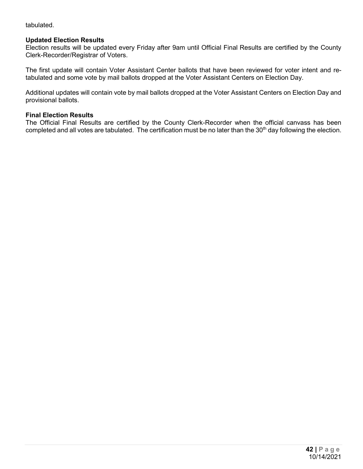tabulated.

#### **Updated Election Results**

Election results will be updated every Friday after 9am until Official Final Results are certified by the County Clerk-Recorder/Registrar of Voters.

The first update will contain Voter Assistant Center ballots that have been reviewed for voter intent and retabulated and some vote by mail ballots dropped at the Voter Assistant Centers on Election Day.

Additional updates will contain vote by mail ballots dropped at the Voter Assistant Centers on Election Day and provisional ballots.

#### **Final Election Results**

The Official Final Results are certified by the County Clerk-Recorder when the official canvass has been completed and all votes are tabulated. The certification must be no later than the 30<sup>th</sup> day following the election.